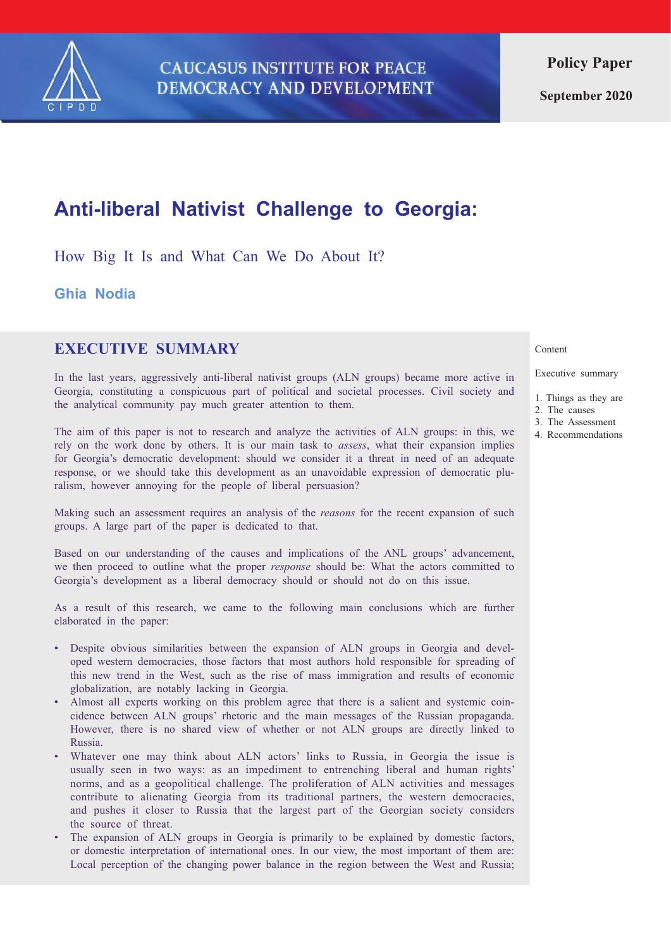

**September 2020**

# **Anti-liberal Nativist Challenge to Georgia:**

How Big It Is and What Can We Do About It?

**Ghia Nodia**

# **EXECUTIVE SUMMARY**

In the last years, aggressively anti-liberal nativist groups (ALN groups) became more active in Georgia, constituting a conspicuous part of political and societal processes. Civil society and the analytical community pay much greater attention to them.

The aim of this paper is not to research and analyze the activities of ALN groups: in this, we rely on the work done by others. It is our main task to *assess*, what their expansion implies for Georgia's democratic development: should we consider it a threat in need of an adequate response, or we should take this development as an unavoidable expression of democratic pluralism, however annoying for the people of liberal persuasion?

Making such an assessment requires an analysis of the *reasons* for the recent expansion of such groups. A large part of the paper is dedicated to that.

Based on our understanding of the causes and implications of the ANL groups' advancement, we then proceed to outline what the proper *response* should be: What the actors committed to Georgia's development as a liberal democracy should or should not do on this issue.

As a result of this research, we came to the following main conclusions which are further elaborated in the paper:

- Despite obvious similarities between the expansion of ALN groups in Georgia and developed western democracies, those factors that most authors hold responsible for spreading of this new trend in the West, such as the rise of mass immigration and results of economic globalization, are notably lacking in Georgia.
- Almost all experts working on this problem agree that there is a salient and systemic coincidence between ALN groups' rhetoric and the main messages of the Russian propaganda. However, there is no shared view of whether or not ALN groups are directly linked to Russia.
- Whatever one may think about ALN actors' links to Russia, in Georgia the issue is usually seen in two ways: as an impediment to entrenching liberal and human rights' norms, and as a geopolitical challenge. The proliferation of ALN activities and messages contribute to alienating Georgia from its traditional partners, the western democracies, and pushes it closer to Russia that the largest part of the Georgian society considers the source of threat.
- The expansion of ALN groups in Georgia is primarily to be explained by domestic factors, or domestic interpretation of international ones. In our view, the most important of them are: Local perception of the changing power balance in the region between the West and Russia;

#### Content

Executive summary

- 1. Things as they are
- 2. The causes
- 3. The Assessment
- 4. Recommendations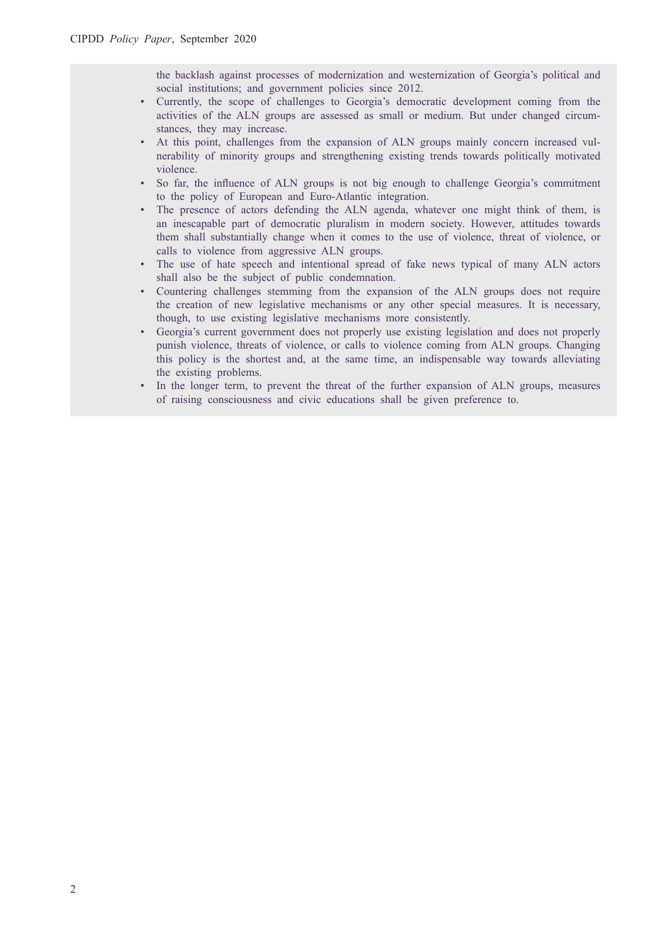the backlash against processes of modernization and westernization of Georgia's political and social institutions; and government policies since 2012.

- Currently, the scope of challenges to Georgia's democratic development coming from the activities of the ALN groups are assessed as small or medium. But under changed circumstances, they may increase.
- At this point, challenges from the expansion of ALN groups mainly concern increased vulnerability of minority groups and strengthening existing trends towards politically motivated violence.
- So far, the influence of ALN groups is not big enough to challenge Georgia's commitment to the policy of European and Euro-Atlantic integration.
- The presence of actors defending the ALN agenda, whatever one might think of them, is an inescapable part of democratic pluralism in modern society. However, attitudes towards them shall substantially change when it comes to the use of violence, threat of violence, or calls to violence from aggressive ALN groups.
- The use of hate speech and intentional spread of fake news typical of many ALN actors shall also be the subject of public condemnation.
- Countering challenges stemming from the expansion of the ALN groups does not require the creation of new legislative mechanisms or any other special measures. It is necessary, though, to use existing legislative mechanisms more consistently.
- Georgia's current government does not properly use existing legislation and does not properly punish violence, threats of violence, or calls to violence coming from ALN groups. Changing this policy is the shortest and, at the same time, an indispensable way towards alleviating the existing problems.
- In the longer term, to prevent the threat of the further expansion of ALN groups, measures of raising consciousness and civic educations shall be given preference to.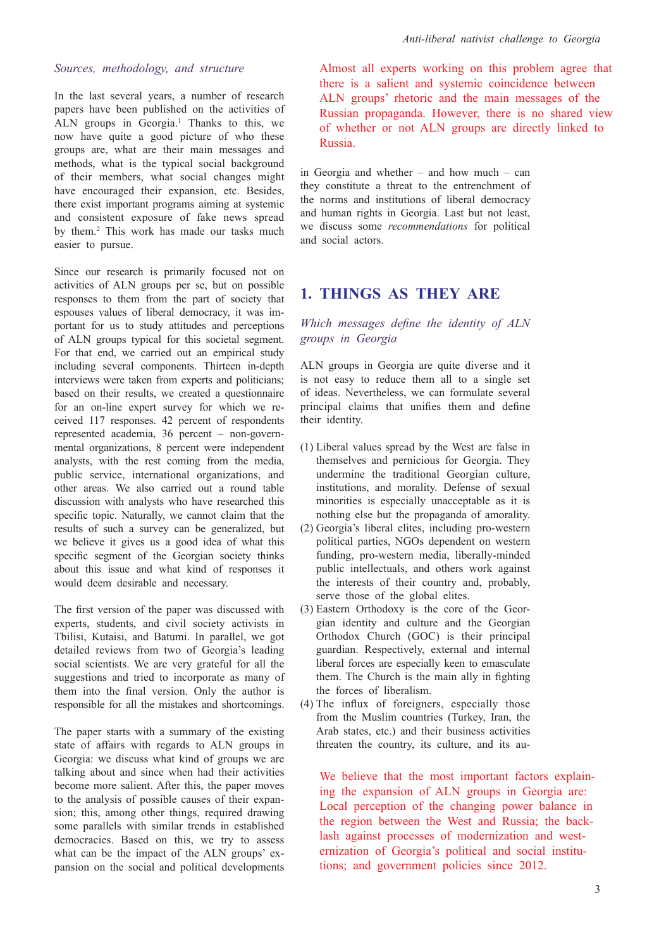#### *Sources, methodology, and structure*

In the last several years, a number of research papers have been published on the activities of ALN groups in Georgia.<sup>1</sup> Thanks to this, we now have quite a good picture of who these groups are, what are their main messages and methods, what is the typical social background of their members, what social changes might have encouraged their expansion, etc. Besides, there exist important programs aiming at systemic and consistent exposure of fake news spread by them.2 This work has made our tasks much easier to pursue.

Since our research is primarily focused not on activities of ALN groups per se, but on possible responses to them from the part of society that espouses values of liberal democracy, it was important for us to study attitudes and perceptions of ALN groups typical for this societal segment. For that end, we carried out an empirical study including several components. Thirteen in-depth interviews were taken from experts and politicians; based on their results, we created a questionnaire for an on-line expert survey for which we received 117 responses. 42 percent of respondents represented academia, 36 percent – non-governmental organizations, 8 percent were independent analysts, with the rest coming from the media, public service, international organizations, and other areas. We also carried out a round table discussion with analysts who have researched this specific topic. Naturally, we cannot claim that the results of such a survey can be generalized, but we believe it gives us a good idea of what this specific segment of the Georgian society thinks about this issue and what kind of responses it would deem desirable and necessary.

The first version of the paper was discussed with experts, students, and civil society activists in Tbilisi, Kutaisi, and Batumi. In parallel, we got detailed reviews from two of Georgia's leading social scientists. We are very grateful for all the suggestions and tried to incorporate as many of them into the final version. Only the author is responsible for all the mistakes and shortcomings.

The paper starts with a summary of the existing state of affairs with regards to ALN groups in Georgia: we discuss what kind of groups we are talking about and since when had their activities become more salient. After this, the paper moves to the analysis of possible causes of their expansion; this, among other things, required drawing some parallels with similar trends in established democracies. Based on this, we try to assess what can be the impact of the ALN groups' expansion on the social and political developments

Almost all experts working on this problem agree that there is a salient and systemic coincidence between ALN groups' rhetoric and the main messages of the Russian propaganda. However, there is no shared view of whether or not ALN groups are directly linked to Russia.

in Georgia and whether – and how much – can they constitute a threat to the entrenchment of the norms and institutions of liberal democracy and human rights in Georgia. Last but not least, we discuss some *recommendations* for political and social actors.

# **1. THINGS AS THEY ARE**

*Which messages define the identity of ALN groups in Georgia*

ALN groups in Georgia are quite diverse and it is not easy to reduce them all to a single set of ideas. Nevertheless, we can formulate several principal claims that unifies them and define their identity.

- (1) Liberal values spread by the West are false in themselves and pernicious for Georgia. They undermine the traditional Georgian culture, institutions, and morality. Defense of sexual minorities is especially unacceptable as it is nothing else but the propaganda of amorality.
- (2) Georgia's liberal elites, including pro-western political parties, NGOs dependent on western funding, pro-western media, liberally-minded public intellectuals, and others work against the interests of their country and, probably, serve those of the global elites.
- (3) Eastern Orthodoxy is the core of the Georgian identity and culture and the Georgian Orthodox Church (GOC) is their principal guardian. Respectively, external and internal liberal forces are especially keen to emasculate them. The Church is the main ally in fighting the forces of liberalism.
- (4) The influx of foreigners, especially those from the Muslim countries (Turkey, Iran, the Arab states, etc.) and their business activities threaten the country, its culture, and its au-

We believe that the most important factors explaining the expansion of ALN groups in Georgia are: Local perception of the changing power balance in the region between the West and Russia; the backlash against processes of modernization and westernization of Georgia's political and social institutions; and government policies since 2012.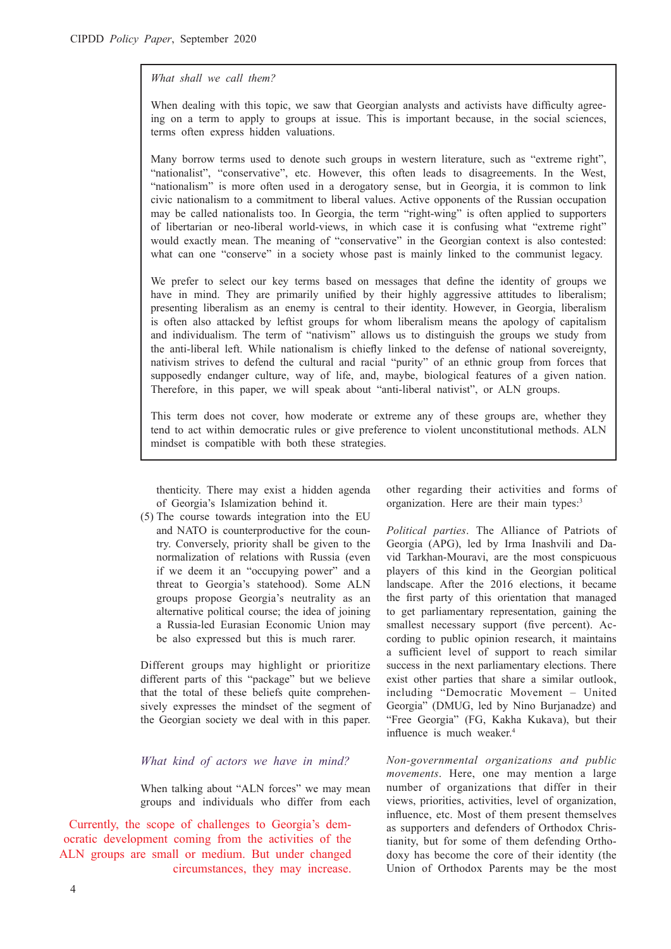#### *What shall we call them?*

When dealing with this topic, we saw that Georgian analysts and activists have difficulty agreeing on a term to apply to groups at issue. This is important because, in the social sciences, terms often express hidden valuations.

Many borrow terms used to denote such groups in western literature, such as "extreme right", "nationalist", "conservative", etc. However, this often leads to disagreements. In the West, "nationalism" is more often used in a derogatory sense, but in Georgia, it is common to link civic nationalism to a commitment to liberal values. Active opponents of the Russian occupation may be called nationalists too. In Georgia, the term "right-wing" is often applied to supporters of libertarian or neo-liberal world-views, in which case it is confusing what "extreme right" would exactly mean. The meaning of "conservative" in the Georgian context is also contested: what can one "conserve" in a society whose past is mainly linked to the communist legacy.

We prefer to select our key terms based on messages that define the identity of groups we have in mind. They are primarily unified by their highly aggressive attitudes to liberalism; presenting liberalism as an enemy is central to their identity. However, in Georgia, liberalism is often also attacked by leftist groups for whom liberalism means the apology of capitalism and individualism. The term of "nativism" allows us to distinguish the groups we study from the anti-liberal left. While nationalism is chiefly linked to the defense of national sovereignty, nativism strives to defend the cultural and racial "purity" of an ethnic group from forces that supposedly endanger culture, way of life, and, maybe, biological features of a given nation. Therefore, in this paper, we will speak about "anti-liberal nativist", or ALN groups.

This term does not cover, how moderate or extreme any of these groups are, whether they tend to act within democratic rules or give preference to violent unconstitutional methods. ALN mindset is compatible with both these strategies.

thenticity. There may exist a hidden agenda of Georgia's Islamization behind it.

(5) The course towards integration into the EU and NATO is counterproductive for the country. Conversely, priority shall be given to the normalization of relations with Russia (even if we deem it an "occupying power" and a threat to Georgia's statehood). Some ALN groups propose Georgia's neutrality as an alternative political course; the idea of joining a Russia-led Eurasian Economic Union may be also expressed but this is much rarer.

Different groups may highlight or prioritize different parts of this "package" but we believe that the total of these beliefs quite comprehensively expresses the mindset of the segment of the Georgian society we deal with in this paper.

#### *What kind of actors we have in mind?*

When talking about "ALN forces" we may mean groups and individuals who differ from each

Currently, the scope of challenges to Georgia's democratic development coming from the activities of the ALN groups are small or medium. But under changed circumstances, they may increase. other regarding their activities and forms of organization. Here are their main types:<sup>3</sup>

*Political parties*. The Alliance of Patriots of Georgia (APG), led by Irma Inashvili and David Tarkhan-Mouravi, are the most conspicuous players of this kind in the Georgian political landscape. After the 2016 elections, it became the first party of this orientation that managed to get parliamentary representation, gaining the smallest necessary support (five percent). According to public opinion research, it maintains a sufficient level of support to reach similar success in the next parliamentary elections. There exist other parties that share a similar outlook, including "Democratic Movement – United Georgia" (DMUG, led by Nino Burjanadze) and "Free Georgia" (FG, Kakha Kukava), but their influence is much weaker.<sup>4</sup>

*Non-governmental organizations and public movements*. Here, one may mention a large number of organizations that differ in their views, priorities, activities, level of organization, influence, etc. Most of them present themselves as supporters and defenders of Orthodox Christianity, but for some of them defending Orthodoxy has become the core of their identity (the Union of Orthodox Parents may be the most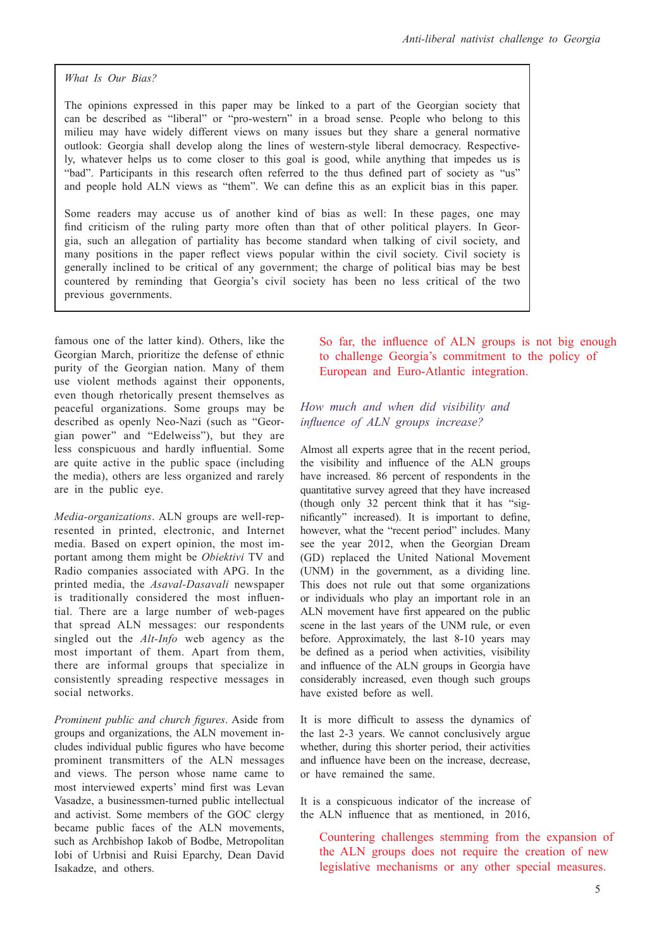*What Is Our Bias?* 

The opinions expressed in this paper may be linked to a part of the Georgian society that can be described as "liberal" or "pro-western" in a broad sense. People who belong to this milieu may have widely different views on many issues but they share a general normative outlook: Georgia shall develop along the lines of western-style liberal democracy. Respectively, whatever helps us to come closer to this goal is good, while anything that impedes us is "bad". Participants in this research often referred to the thus defined part of society as "us" and people hold ALN views as "them". We can define this as an explicit bias in this paper.

Some readers may accuse us of another kind of bias as well: In these pages, one may find criticism of the ruling party more often than that of other political players. In Georgia, such an allegation of partiality has become standard when talking of civil society, and many positions in the paper reflect views popular within the civil society. Civil society is generally inclined to be critical of any government; the charge of political bias may be best countered by reminding that Georgia's civil society has been no less critical of the two previous governments.

famous one of the latter kind). Others, like the Georgian March, prioritize the defense of ethnic purity of the Georgian nation. Many of them use violent methods against their opponents, even though rhetorically present themselves as peaceful organizations. Some groups may be described as openly Neo-Nazi (such as "Georgian power" and "Edelweiss"), but they are less conspicuous and hardly influential. Some are quite active in the public space (including the media), others are less organized and rarely are in the public eye.

*Media-organizations*. ALN groups are well-represented in printed, electronic, and Internet media. Based on expert opinion, the most important among them might be *Obiektivi* TV and Radio companies associated with APG. In the printed media, the *Asaval-Dasavali* newspaper is traditionally considered the most influential. There are a large number of web-pages that spread ALN messages: our respondents singled out the *Alt-Info* web agency as the most important of them. Apart from them, there are informal groups that specialize in consistently spreading respective messages in social networks.

*Prominent public and church figures*. Aside from groups and organizations, the ALN movement includes individual public figures who have become prominent transmitters of the ALN messages and views. The person whose name came to most interviewed experts' mind first was Levan Vasadze, a businessmen-turned public intellectual and activist. Some members of the GOC clergy became public faces of the ALN movements, such as Archbishop Iakob of Bodbe, Metropolitan Iobi of Urbnisi and Ruisi Eparchy, Dean David Isakadze, and others.

So far, the influence of ALN groups is not big enough to challenge Georgia's commitment to the policy of European and Euro-Atlantic integration.

## *How much and when did visibility and influence of ALN groups increase?*

Almost all experts agree that in the recent period, the visibility and influence of the ALN groups have increased. 86 percent of respondents in the quantitative survey agreed that they have increased (though only 32 percent think that it has "significantly" increased). It is important to define, however, what the "recent period" includes. Many see the year 2012, when the Georgian Dream (GD) replaced the United National Movement (UNM) in the government, as a dividing line. This does not rule out that some organizations or individuals who play an important role in an ALN movement have first appeared on the public scene in the last years of the UNM rule, or even before. Approximately, the last 8-10 years may be defined as a period when activities, visibility and influence of the ALN groups in Georgia have considerably increased, even though such groups have existed before as well.

It is more difficult to assess the dynamics of the last 2-3 years. We cannot conclusively argue whether, during this shorter period, their activities and influence have been on the increase, decrease or have remained the same.

It is a conspicuous indicator of the increase of the ALN influence that as mentioned, in 2016,

Countering challenges stemming from the expansion of the ALN groups does not require the creation of new legislative mechanisms or any other special measures.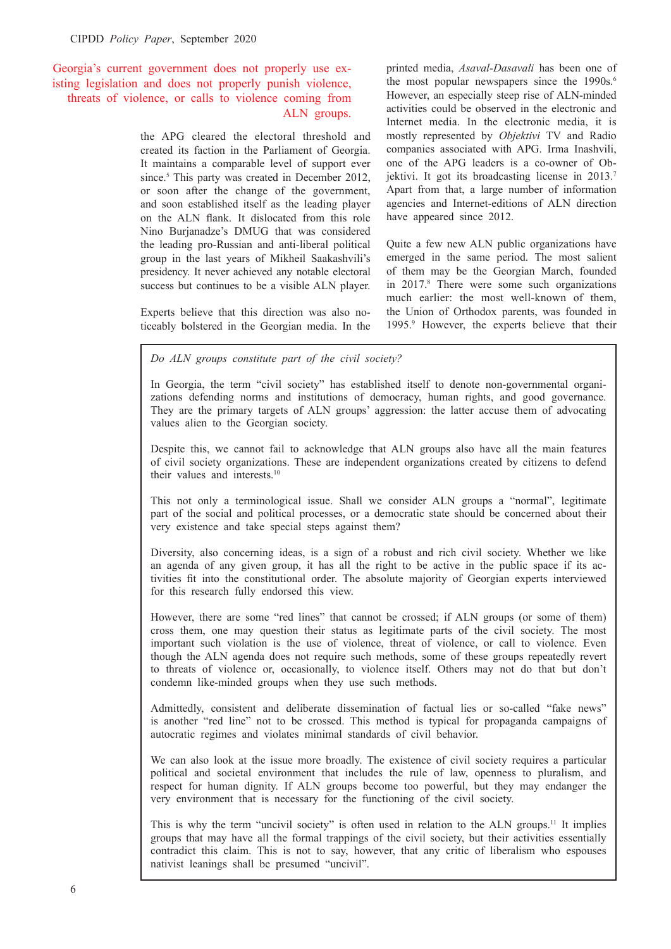## Georgia's current government does not properly use existing legislation and does not properly punish violence, threats of violence, or calls to violence coming from ALN groups.

the APG cleared the electoral threshold and created its faction in the Parliament of Georgia. It maintains a comparable level of support ever since.<sup>5</sup> This party was created in December 2012, or soon after the change of the government, and soon established itself as the leading player on the ALN flank. It dislocated from this role Nino Burjanadze's DMUG that was considered the leading pro-Russian and anti-liberal political group in the last years of Mikheil Saakashvili's presidency. It never achieved any notable electoral success but continues to be a visible ALN player.

Experts believe that this direction was also noticeably bolstered in the Georgian media. In the

printed media, *Asaval-Dasavali* has been one of the most popular newspapers since the 1990s.<sup>6</sup> However, an especially steep rise of ALN-minded activities could be observed in the electronic and Internet media. In the electronic media, it is mostly represented by *Objektivi* TV and Radio companies associated with APG. Irma Inashvili, one of the APG leaders is a co-owner of Objektivi. It got its broadcasting license in 2013.<sup>7</sup> Apart from that, a large number of information agencies and Internet-editions of ALN direction have appeared since 2012.

Quite a few new ALN public organizations have emerged in the same period. The most salient of them may be the Georgian March, founded in 2017.8 There were some such organizations much earlier: the most well-known of them, the Union of Orthodox parents, was founded in 1995.9 However, the experts believe that their

*Do ALN groups constitute part of the civil society?* 

In Georgia, the term "civil society" has established itself to denote non-governmental organizations defending norms and institutions of democracy, human rights, and good governance. They are the primary targets of ALN groups' aggression: the latter accuse them of advocating values alien to the Georgian society.

Despite this, we cannot fail to acknowledge that ALN groups also have all the main features of civil society organizations. These are independent organizations created by citizens to defend their values and interests.<sup>10</sup>

This not only a terminological issue. Shall we consider ALN groups a "normal", legitimate part of the social and political processes, or a democratic state should be concerned about their very existence and take special steps against them?

Diversity, also concerning ideas, is a sign of a robust and rich civil society. Whether we like an agenda of any given group, it has all the right to be active in the public space if its activities fit into the constitutional order. The absolute majority of Georgian experts interviewed for this research fully endorsed this view.

However, there are some "red lines" that cannot be crossed; if ALN groups (or some of them) cross them, one may question their status as legitimate parts of the civil society. The most important such violation is the use of violence, threat of violence, or call to violence. Even though the ALN agenda does not require such methods, some of these groups repeatedly revert to threats of violence or, occasionally, to violence itself. Others may not do that but don't condemn like-minded groups when they use such methods.

Admittedly, consistent and deliberate dissemination of factual lies or so-called "fake news" is another "red line" not to be crossed. This method is typical for propaganda campaigns of autocratic regimes and violates minimal standards of civil behavior.

We can also look at the issue more broadly. The existence of civil society requires a particular political and societal environment that includes the rule of law, openness to pluralism, and respect for human dignity. If ALN groups become too powerful, but they may endanger the very environment that is necessary for the functioning of the civil society.

This is why the term "uncivil society" is often used in relation to the ALN groups.11 It implies groups that may have all the formal trappings of the civil society, but their activities essentially contradict this claim. This is not to say, however, that any critic of liberalism who espouses nativist leanings shall be presumed "uncivil".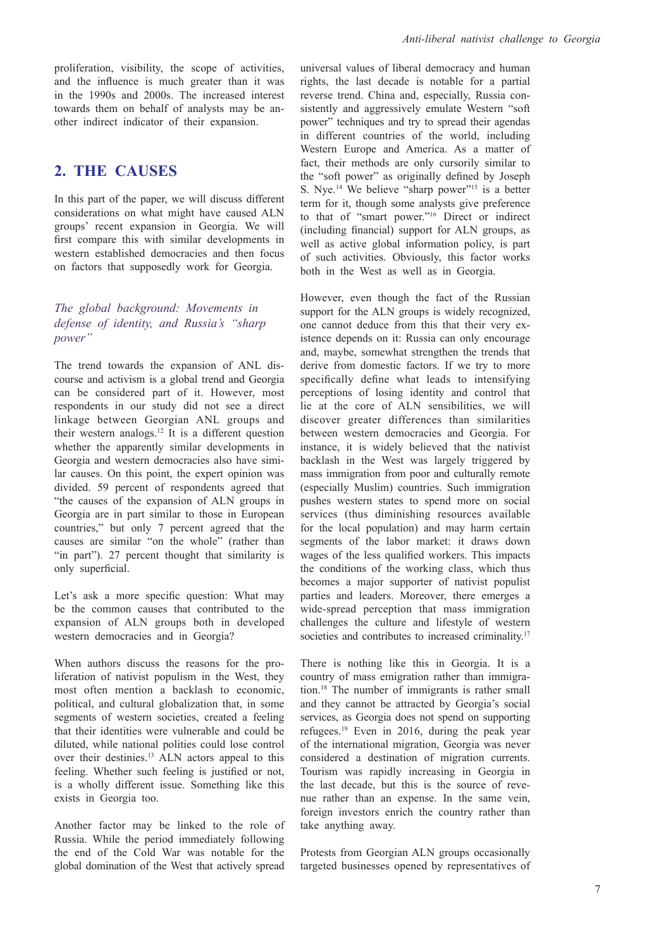proliferation, visibility, the scope of activities, and the influence is much greater than it was in the 1990s and 2000s. The increased interest towards them on behalf of analysts may be another indirect indicator of their expansion.

## **2. THE CAUSES**

In this part of the paper, we will discuss different considerations on what might have caused ALN groups' recent expansion in Georgia. We will first compare this with similar developments in western established democracies and then focus on factors that supposedly work for Georgia.

## *The global background: Movements in defense of identity, and Russia's "sharp power"*

The trend towards the expansion of ANL discourse and activism is a global trend and Georgia can be considered part of it. However, most respondents in our study did not see a direct linkage between Georgian ANL groups and their western analogs.12 It is a different question whether the apparently similar developments in Georgia and western democracies also have similar causes. On this point, the expert opinion was divided. 59 percent of respondents agreed that "the causes of the expansion of ALN groups in Georgia are in part similar to those in European countries," but only 7 percent agreed that the causes are similar "on the whole" (rather than "in part"). 27 percent thought that similarity is only superficial.

Let's ask a more specific question: What may be the common causes that contributed to the expansion of ALN groups both in developed western democracies and in Georgia?

When authors discuss the reasons for the proliferation of nativist populism in the West, they most often mention a backlash to economic, political, and cultural globalization that, in some segments of western societies, created a feeling that their identities were vulnerable and could be diluted, while national polities could lose control over their destinies.13 ALN actors appeal to this feeling. Whether such feeling is justified or not, is a wholly different issue. Something like this exists in Georgia too.

Another factor may be linked to the role of Russia. While the period immediately following the end of the Cold War was notable for the global domination of the West that actively spread universal values of liberal democracy and human rights, the last decade is notable for a partial reverse trend. China and, especially, Russia consistently and aggressively emulate Western "soft power" techniques and try to spread their agendas in different countries of the world, including Western Europe and America. As a matter of fact, their methods are only cursorily similar to the "soft power" as originally defined by Joseph S. Nye.<sup>14</sup> We believe "sharp power"<sup>15</sup> is a better term for it, though some analysts give preference to that of "smart power."16 Direct or indirect (including financial) support for ALN groups, as well as active global information policy, is part of such activities. Obviously, this factor works both in the West as well as in Georgia.

However, even though the fact of the Russian support for the ALN groups is widely recognized, one cannot deduce from this that their very existence depends on it: Russia can only encourage and, maybe, somewhat strengthen the trends that derive from domestic factors. If we try to more specifically define what leads to intensifying perceptions of losing identity and control that lie at the core of ALN sensibilities, we will discover greater differences than similarities between western democracies and Georgia. For instance, it is widely believed that the nativist backlash in the West was largely triggered by mass immigration from poor and culturally remote (especially Muslim) countries. Such immigration pushes western states to spend more on social services (thus diminishing resources available for the local population) and may harm certain segments of the labor market: it draws down wages of the less qualified workers. This impacts the conditions of the working class, which thus becomes a major supporter of nativist populist parties and leaders. Moreover, there emerges a wide-spread perception that mass immigration challenges the culture and lifestyle of western societies and contributes to increased criminality.<sup>17</sup>

There is nothing like this in Georgia. It is a country of mass emigration rather than immigration.18 The number of immigrants is rather small and they cannot be attracted by Georgia's social services, as Georgia does not spend on supporting refugees.19 Even in 2016, during the peak year of the international migration, Georgia was never considered a destination of migration currents. Tourism was rapidly increasing in Georgia in the last decade, but this is the source of revenue rather than an expense. In the same vein, foreign investors enrich the country rather than take anything away.

Protests from Georgian ALN groups occasionally targeted businesses opened by representatives of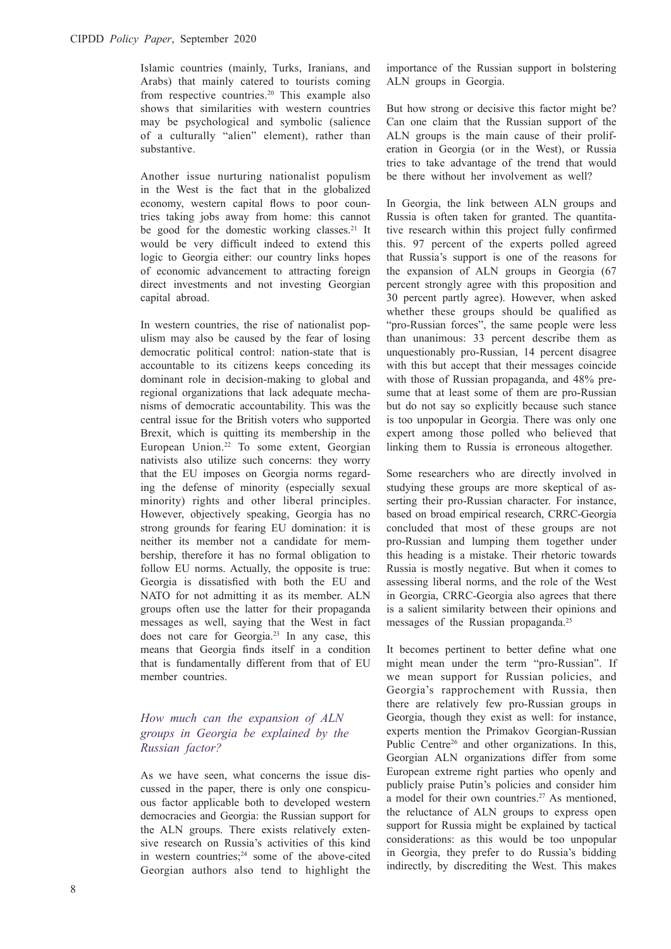Islamic countries (mainly, Turks, Iranians, and Arabs) that mainly catered to tourists coming from respective countries.<sup>20</sup> This example also shows that similarities with western countries may be psychological and symbolic (salience of a culturally "alien" element), rather than substantive.

Another issue nurturing nationalist populism in the West is the fact that in the globalized economy, western capital flows to poor countries taking jobs away from home: this cannot be good for the domestic working classes.<sup>21</sup> It would be very difficult indeed to extend this logic to Georgia either: our country links hopes of economic advancement to attracting foreign direct investments and not investing Georgian capital abroad.

In western countries, the rise of nationalist populism may also be caused by the fear of losing democratic political control: nation-state that is accountable to its citizens keeps conceding its dominant role in decision-making to global and regional organizations that lack adequate mechanisms of democratic accountability. This was the central issue for the British voters who supported Brexit, which is quitting its membership in the European Union.<sup>22</sup> To some extent, Georgian nativists also utilize such concerns: they worry that the EU imposes on Georgia norms regarding the defense of minority (especially sexual minority) rights and other liberal principles. However, objectively speaking, Georgia has no strong grounds for fearing EU domination: it is neither its member not a candidate for membership, therefore it has no formal obligation to follow EU norms. Actually, the opposite is true: Georgia is dissatisfied with both the EU and NATO for not admitting it as its member. ALN groups often use the latter for their propaganda messages as well, saying that the West in fact does not care for Georgia.23 In any case, this means that Georgia finds itself in a condition that is fundamentally different from that of EU member countries.

## *How much can the expansion of ALN groups in Georgia be explained by the Russian factor?*

As we have seen, what concerns the issue discussed in the paper, there is only one conspicuous factor applicable both to developed western democracies and Georgia: the Russian support for the ALN groups. There exists relatively extensive research on Russia's activities of this kind in western countries;<sup>24</sup> some of the above-cited Georgian authors also tend to highlight the

importance of the Russian support in bolstering ALN groups in Georgia.

But how strong or decisive this factor might be? Can one claim that the Russian support of the ALN groups is the main cause of their proliferation in Georgia (or in the West), or Russia tries to take advantage of the trend that would be there without her involvement as well?

In Georgia, the link between ALN groups and Russia is often taken for granted. The quantitative research within this project fully confirmed this. 97 percent of the experts polled agreed that Russia's support is one of the reasons for the expansion of ALN groups in Georgia (67 percent strongly agree with this proposition and 30 percent partly agree). However, when asked whether these groups should be qualified as "pro-Russian forces", the same people were less than unanimous: 33 percent describe them as unquestionably pro-Russian, 14 percent disagree with this but accept that their messages coincide with those of Russian propaganda, and 48% presume that at least some of them are pro-Russian but do not say so explicitly because such stance is too unpopular in Georgia. There was only one expert among those polled who believed that linking them to Russia is erroneous altogether.

Some researchers who are directly involved in studying these groups are more skeptical of asserting their pro-Russian character. For instance, based on broad empirical research, CRRC-Georgia concluded that most of these groups are not pro-Russian and lumping them together under this heading is a mistake. Their rhetoric towards Russia is mostly negative. But when it comes to assessing liberal norms, and the role of the West in Georgia, CRRC-Georgia also agrees that there is a salient similarity between their opinions and messages of the Russian propaganda.<sup>25</sup>

It becomes pertinent to better define what one might mean under the term "pro-Russian". If we mean support for Russian policies, and Georgia's rapprochement with Russia, then there are relatively few pro-Russian groups in Georgia, though they exist as well: for instance, experts mention the Primakov Georgian-Russian Public Centre<sup>26</sup> and other organizations. In this, Georgian ALN organizations differ from some European extreme right parties who openly and publicly praise Putin's policies and consider him a model for their own countries.<sup>27</sup> As mentioned, the reluctance of ALN groups to express open support for Russia might be explained by tactical considerations: as this would be too unpopular in Georgia, they prefer to do Russia's bidding indirectly, by discrediting the West. This makes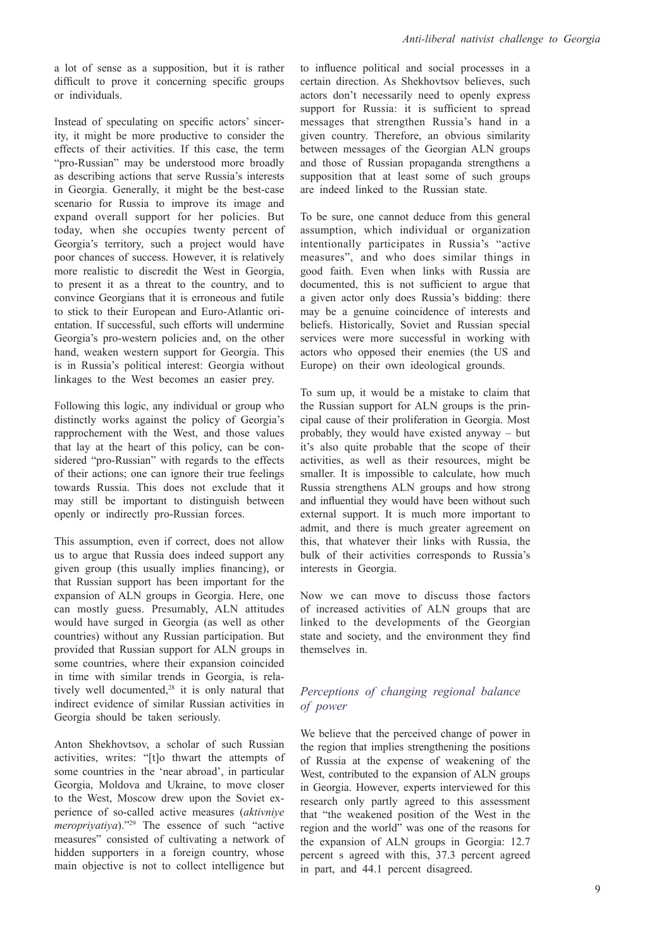a lot of sense as a supposition, but it is rather difficult to prove it concerning specific groups or individuals.

Instead of speculating on specific actors' sincerity, it might be more productive to consider the effects of their activities. If this case, the term "pro-Russian" may be understood more broadly as describing actions that serve Russia's interests in Georgia. Generally, it might be the best-case scenario for Russia to improve its image and expand overall support for her policies. But today, when she occupies twenty percent of Georgia's territory, such a project would have poor chances of success. However, it is relatively more realistic to discredit the West in Georgia, to present it as a threat to the country, and to convince Georgians that it is erroneous and futile to stick to their European and Euro-Atlantic orientation. If successful, such efforts will undermine Georgia's pro-western policies and, on the other hand, weaken western support for Georgia. This is in Russia's political interest: Georgia without linkages to the West becomes an easier prey.

Following this logic, any individual or group who distinctly works against the policy of Georgia's rapprochement with the West, and those values that lay at the heart of this policy, can be considered "pro-Russian" with regards to the effects of their actions; one can ignore their true feelings towards Russia. This does not exclude that it may still be important to distinguish between openly or indirectly pro-Russian forces.

This assumption, even if correct, does not allow us to argue that Russia does indeed support any given group (this usually implies financing), or that Russian support has been important for the expansion of ALN groups in Georgia. Here, one can mostly guess. Presumably, ALN attitudes would have surged in Georgia (as well as other countries) without any Russian participation. But provided that Russian support for ALN groups in some countries, where their expansion coincided in time with similar trends in Georgia, is relatively well documented,<sup>28</sup> it is only natural that indirect evidence of similar Russian activities in Georgia should be taken seriously.

Anton Shekhovtsov, a scholar of such Russian activities, writes: "[t]o thwart the attempts of some countries in the 'near abroad', in particular Georgia, Moldova and Ukraine, to move closer to the West, Moscow drew upon the Soviet experience of so-called active measures (*aktivniye meropriyatiya*)."29 The essence of such "active measures" consisted of cultivating a network of hidden supporters in a foreign country, whose main objective is not to collect intelligence but

to influence political and social processes in a certain direction. As Shekhovtsov believes, such actors don't necessarily need to openly express support for Russia: it is sufficient to spread messages that strengthen Russia's hand in a given country. Therefore, an obvious similarity between messages of the Georgian ALN groups and those of Russian propaganda strengthens a supposition that at least some of such groups are indeed linked to the Russian state.

To be sure, one cannot deduce from this general assumption, which individual or organization intentionally participates in Russia's "active measures", and who does similar things in good faith. Even when links with Russia are documented, this is not sufficient to argue that a given actor only does Russia's bidding: there may be a genuine coincidence of interests and beliefs. Historically, Soviet and Russian special services were more successful in working with actors who opposed their enemies (the US and Europe) on their own ideological grounds.

To sum up, it would be a mistake to claim that the Russian support for ALN groups is the principal cause of their proliferation in Georgia. Most probably, they would have existed anyway – but it's also quite probable that the scope of their activities, as well as their resources, might be smaller. It is impossible to calculate, how much Russia strengthens ALN groups and how strong and influential they would have been without such external support. It is much more important to admit, and there is much greater agreement on this, that whatever their links with Russia, the bulk of their activities corresponds to Russia's interests in Georgia.

Now we can move to discuss those factors of increased activities of ALN groups that are linked to the developments of the Georgian state and society, and the environment they find themselves in.

#### *Perceptions of changing regional balance of power*

We believe that the perceived change of power in the region that implies strengthening the positions of Russia at the expense of weakening of the West, contributed to the expansion of ALN groups in Georgia. However, experts interviewed for this research only partly agreed to this assessment that "the weakened position of the West in the region and the world" was one of the reasons for the expansion of ALN groups in Georgia: 12.7 percent s agreed with this, 37.3 percent agreed in part, and 44.1 percent disagreed.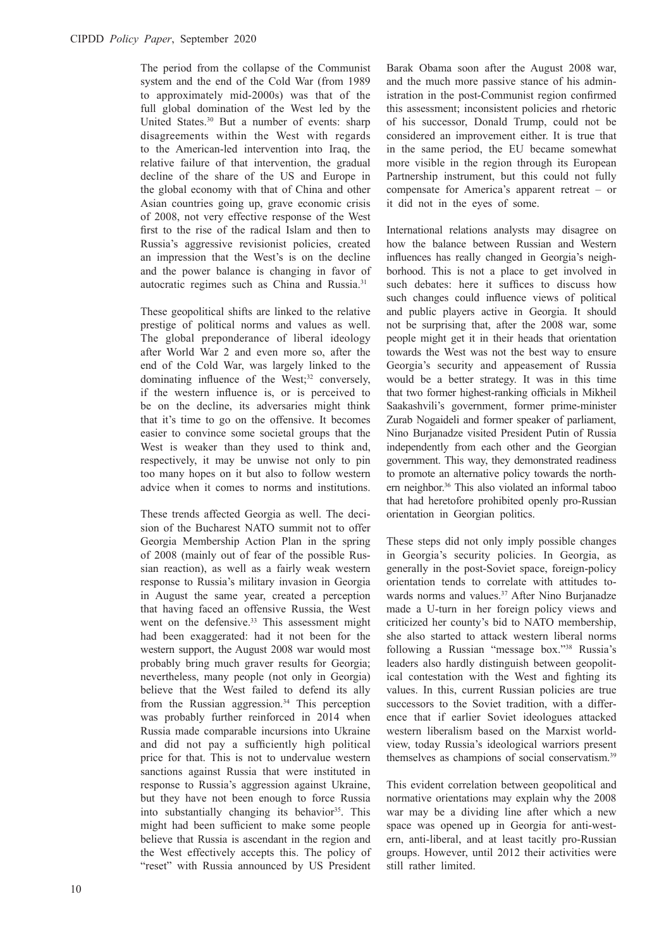The period from the collapse of the Communist system and the end of the Cold War (from 1989 to approximately mid-2000s) was that of the full global domination of the West led by the United States.<sup>30</sup> But a number of events: sharp disagreements within the West with regards to the American-led intervention into Iraq, the relative failure of that intervention, the gradual decline of the share of the US and Europe in the global economy with that of China and other Asian countries going up, grave economic crisis of 2008, not very effective response of the West first to the rise of the radical Islam and then to Russia's aggressive revisionist policies, created an impression that the West's is on the decline and the power balance is changing in favor of autocratic regimes such as China and Russia.31

These geopolitical shifts are linked to the relative prestige of political norms and values as well. The global preponderance of liberal ideology after World War 2 and even more so, after the end of the Cold War, was largely linked to the dominating influence of the West;<sup>32</sup> conversely, if the western influence is, or is perceived to be on the decline, its adversaries might think that it's time to go on the offensive. It becomes easier to convince some societal groups that the West is weaker than they used to think and, respectively, it may be unwise not only to pin too many hopes on it but also to follow western advice when it comes to norms and institutions.

These trends affected Georgia as well. The decision of the Bucharest NATO summit not to offer Georgia Membership Action Plan in the spring of 2008 (mainly out of fear of the possible Russian reaction), as well as a fairly weak western response to Russia's military invasion in Georgia in August the same year, created a perception that having faced an offensive Russia, the West went on the defensive.<sup>33</sup> This assessment might had been exaggerated: had it not been for the western support, the August 2008 war would most probably bring much graver results for Georgia; nevertheless, many people (not only in Georgia) believe that the West failed to defend its ally from the Russian aggression.<sup>34</sup> This perception was probably further reinforced in 2014 when Russia made comparable incursions into Ukraine and did not pay a sufficiently high political price for that. This is not to undervalue western sanctions against Russia that were instituted in response to Russia's aggression against Ukraine, but they have not been enough to force Russia into substantially changing its behavior<sup>35</sup>. This might had been sufficient to make some people believe that Russia is ascendant in the region and the West effectively accepts this. The policy of "reset" with Russia announced by US President

Barak Obama soon after the August 2008 war, and the much more passive stance of his administration in the post-Communist region confirmed this assessment; inconsistent policies and rhetoric of his successor, Donald Trump, could not be considered an improvement either. It is true that in the same period, the EU became somewhat more visible in the region through its European Partnership instrument, but this could not fully compensate for America's apparent retreat – or it did not in the eyes of some.

International relations analysts may disagree on how the balance between Russian and Western influences has really changed in Georgia's neighborhood. This is not a place to get involved in such debates: here it suffices to discuss how such changes could influence views of political and public players active in Georgia. It should not be surprising that, after the 2008 war, some people might get it in their heads that orientation towards the West was not the best way to ensure Georgia's security and appeasement of Russia would be a better strategy. It was in this time that two former highest-ranking officials in Mikheil Saakashvili's government, former prime-minister Zurab Nogaideli and former speaker of parliament, Nino Burjanadze visited President Putin of Russia independently from each other and the Georgian government. This way, they demonstrated readiness to promote an alternative policy towards the northern neighbor.36 This also violated an informal taboo that had heretofore prohibited openly pro-Russian orientation in Georgian politics.

These steps did not only imply possible changes in Georgia's security policies. In Georgia, as generally in the post-Soviet space, foreign-policy orientation tends to correlate with attitudes towards norms and values.<sup>37</sup> After Nino Burjanadze made a U-turn in her foreign policy views and criticized her county's bid to NATO membership, she also started to attack western liberal norms following a Russian "message box."38 Russia's leaders also hardly distinguish between geopolitical contestation with the West and fighting its values. In this, current Russian policies are true successors to the Soviet tradition, with a difference that if earlier Soviet ideologues attacked western liberalism based on the Marxist worldview, today Russia's ideological warriors present themselves as champions of social conservatism.39

This evident correlation between geopolitical and normative orientations may explain why the 2008 war may be a dividing line after which a new space was opened up in Georgia for anti-western, anti-liberal, and at least tacitly pro-Russian groups. However, until 2012 their activities were still rather limited.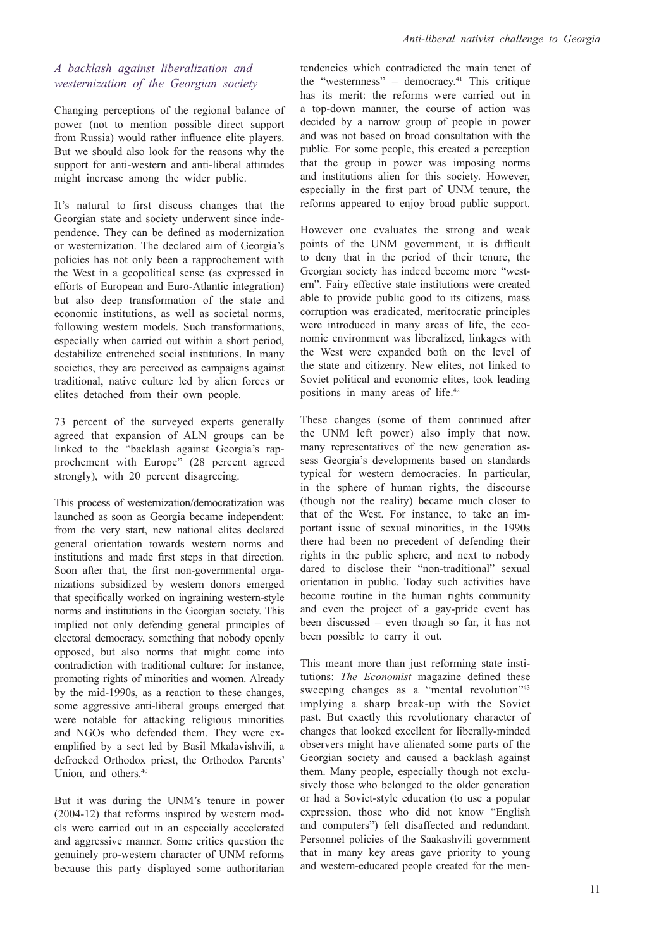#### *A backlash against liberalization and westernization of the Georgian society*

Changing perceptions of the regional balance of power (not to mention possible direct support from Russia) would rather influence elite players. But we should also look for the reasons why the support for anti-western and anti-liberal attitudes might increase among the wider public.

It's natural to first discuss changes that the Georgian state and society underwent since independence. They can be defined as modernization or westernization. The declared aim of Georgia's policies has not only been a rapprochement with the West in a geopolitical sense (as expressed in efforts of European and Euro-Atlantic integration) but also deep transformation of the state and economic institutions, as well as societal norms, following western models. Such transformations, especially when carried out within a short period, destabilize entrenched social institutions. In many societies, they are perceived as campaigns against traditional, native culture led by alien forces or elites detached from their own people.

73 percent of the surveyed experts generally agreed that expansion of ALN groups can be linked to the "backlash against Georgia's rapprochement with Europe" (28 percent agreed strongly), with 20 percent disagreeing.

This process of westernization/democratization was launched as soon as Georgia became independent: from the very start, new national elites declared general orientation towards western norms and institutions and made first steps in that direction. Soon after that, the first non-governmental organizations subsidized by western donors emerged that specifically worked on ingraining western-style norms and institutions in the Georgian society. This implied not only defending general principles of electoral democracy, something that nobody openly opposed, but also norms that might come into contradiction with traditional culture: for instance, promoting rights of minorities and women. Already by the mid-1990s, as a reaction to these changes, some aggressive anti-liberal groups emerged that were notable for attacking religious minorities and NGOs who defended them. They were exemplified by a sect led by Basil Mkalavishvili, a defrocked Orthodox priest, the Orthodox Parents' Union, and others.<sup>40</sup>

But it was during the UNM's tenure in power (2004-12) that reforms inspired by western models were carried out in an especially accelerated and aggressive manner. Some critics question the genuinely pro-western character of UNM reforms because this party displayed some authoritarian tendencies which contradicted the main tenet of the "westernness" – democracy.<sup>41</sup> This critique has its merit: the reforms were carried out in a top-down manner, the course of action was decided by a narrow group of people in power and was not based on broad consultation with the public. For some people, this created a perception that the group in power was imposing norms and institutions alien for this society. However, especially in the first part of UNM tenure, the reforms appeared to enjoy broad public support.

However one evaluates the strong and weak points of the UNM government, it is difficult to deny that in the period of their tenure, the Georgian society has indeed become more "western". Fairy effective state institutions were created able to provide public good to its citizens, mass corruption was eradicated, meritocratic principles were introduced in many areas of life, the economic environment was liberalized, linkages with the West were expanded both on the level of the state and citizenry. New elites, not linked to Soviet political and economic elites, took leading positions in many areas of life.42

These changes (some of them continued after the UNM left power) also imply that now, many representatives of the new generation assess Georgia's developments based on standards typical for western democracies. In particular, in the sphere of human rights, the discourse (though not the reality) became much closer to that of the West. For instance, to take an important issue of sexual minorities, in the 1990s there had been no precedent of defending their rights in the public sphere, and next to nobody dared to disclose their "non-traditional" sexual orientation in public. Today such activities have become routine in the human rights community and even the project of a gay-pride event has been discussed – even though so far, it has not been possible to carry it out.

This meant more than just reforming state institutions: *The Economist* magazine defined these sweeping changes as a "mental revolution"<sup>43</sup> implying a sharp break-up with the Soviet past. But exactly this revolutionary character of changes that looked excellent for liberally-minded observers might have alienated some parts of the Georgian society and caused a backlash against them. Many people, especially though not exclusively those who belonged to the older generation or had a Soviet-style education (to use a popular expression, those who did not know "English and computers") felt disaffected and redundant. Personnel policies of the Saakashvili government that in many key areas gave priority to young and western-educated people created for the men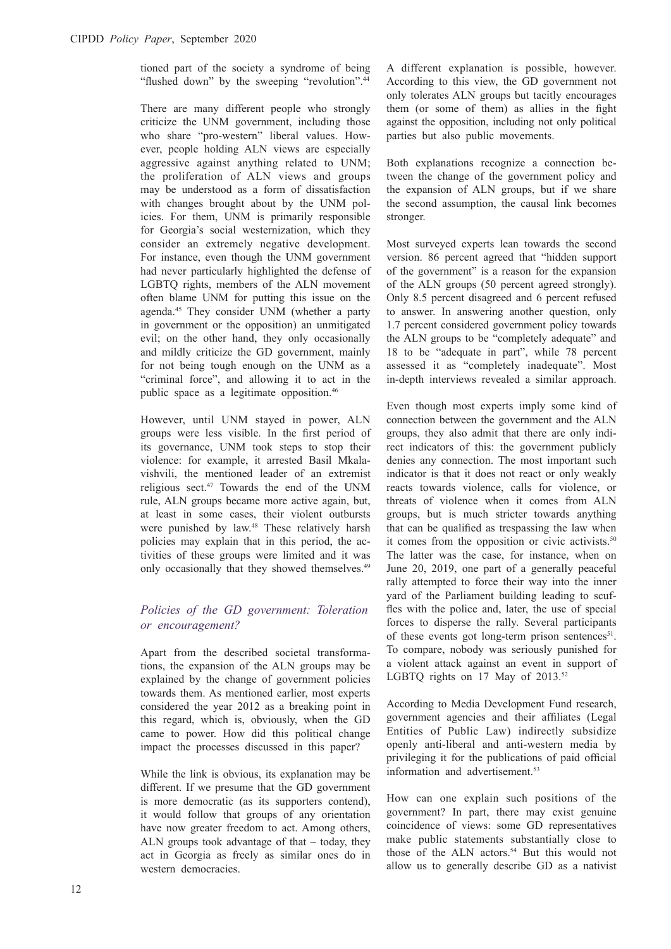tioned part of the society a syndrome of being "flushed down" by the sweeping "revolution".<sup>44</sup>

There are many different people who strongly criticize the UNM government, including those who share "pro-western" liberal values. However, people holding ALN views are especially aggressive against anything related to UNM; the proliferation of ALN views and groups may be understood as a form of dissatisfaction with changes brought about by the UNM policies. For them, UNM is primarily responsible for Georgia's social westernization, which they consider an extremely negative development. For instance, even though the UNM government had never particularly highlighted the defense of LGBTQ rights, members of the ALN movement often blame UNM for putting this issue on the agenda.45 They consider UNM (whether a party in government or the opposition) an unmitigated evil; on the other hand, they only occasionally and mildly criticize the GD government, mainly for not being tough enough on the UNM as a "criminal force", and allowing it to act in the public space as a legitimate opposition.46

However, until UNM stayed in power, ALN groups were less visible. In the first period of its governance, UNM took steps to stop their violence: for example, it arrested Basil Mkalavishvili, the mentioned leader of an extremist religious sect.47 Towards the end of the UNM rule, ALN groups became more active again, but, at least in some cases, their violent outbursts were punished by law.<sup>48</sup> These relatively harsh policies may explain that in this period, the activities of these groups were limited and it was only occasionally that they showed themselves.<sup>49</sup>

#### *Policies of the GD government: Toleration or encouragement?*

Apart from the described societal transformations, the expansion of the ALN groups may be explained by the change of government policies towards them. As mentioned earlier, most experts considered the year 2012 as a breaking point in this regard, which is, obviously, when the GD came to power. How did this political change impact the processes discussed in this paper?

While the link is obvious, its explanation may be different. If we presume that the GD government is more democratic (as its supporters contend), it would follow that groups of any orientation have now greater freedom to act. Among others, ALN groups took advantage of that – today, they act in Georgia as freely as similar ones do in western democracies.

A different explanation is possible, however. According to this view, the GD government not only tolerates ALN groups but tacitly encourages them (or some of them) as allies in the fight against the opposition, including not only political parties but also public movements.

Both explanations recognize a connection between the change of the government policy and the expansion of ALN groups, but if we share the second assumption, the causal link becomes stronger.

Most surveyed experts lean towards the second version. 86 percent agreed that "hidden support of the government" is a reason for the expansion of the ALN groups (50 percent agreed strongly). Only 8.5 percent disagreed and 6 percent refused to answer. In answering another question, only 1.7 percent considered government policy towards the ALN groups to be "completely adequate" and 18 to be "adequate in part", while 78 percent assessed it as "completely inadequate". Most in-depth interviews revealed a similar approach.

Even though most experts imply some kind of connection between the government and the ALN groups, they also admit that there are only indirect indicators of this: the government publicly denies any connection. The most important such indicator is that it does not react or only weakly reacts towards violence, calls for violence, or threats of violence when it comes from ALN groups, but is much stricter towards anything that can be qualified as trespassing the law when it comes from the opposition or civic activists. $50$ The latter was the case, for instance, when on June 20, 2019, one part of a generally peaceful rally attempted to force their way into the inner yard of the Parliament building leading to scuffles with the police and, later, the use of special forces to disperse the rally. Several participants of these events got long-term prison sentences<sup>51</sup>. To compare, nobody was seriously punished for a violent attack against an event in support of LGBTO rights on 17 May of  $2013.^{52}$ 

According to Media Development Fund research, government agencies and their affiliates (Legal Entities of Public Law) indirectly subsidize openly anti-liberal and anti-western media by privileging it for the publications of paid official information and advertisement.<sup>53</sup>

How can one explain such positions of the government? In part, there may exist genuine coincidence of views: some GD representatives make public statements substantially close to those of the ALN actors.<sup>54</sup> But this would not allow us to generally describe GD as a nativist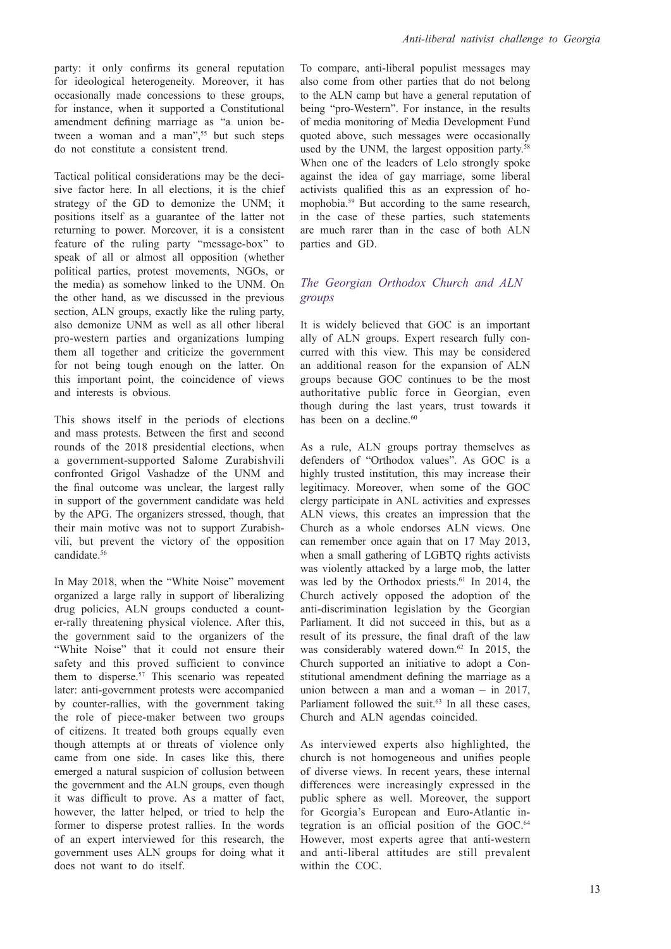party: it only confirms its general reputation for ideological heterogeneity. Moreover, it has occasionally made concessions to these groups, for instance, when it supported a Constitutional amendment defining marriage as "a union between a woman and a man",<sup>55</sup> but such steps do not constitute a consistent trend.

Tactical political considerations may be the decisive factor here. In all elections, it is the chief strategy of the GD to demonize the UNM; it positions itself as a guarantee of the latter not returning to power. Moreover, it is a consistent feature of the ruling party "message-box" to speak of all or almost all opposition (whether political parties, protest movements, NGOs, or the media) as somehow linked to the UNM. On the other hand, as we discussed in the previous section, ALN groups, exactly like the ruling party, also demonize UNM as well as all other liberal pro-western parties and organizations lumping them all together and criticize the government for not being tough enough on the latter. On this important point, the coincidence of views and interests is obvious.

This shows itself in the periods of elections and mass protests. Between the first and second rounds of the 2018 presidential elections, when a government-supported Salome Zurabishvili confronted Grigol Vashadze of the UNM and the final outcome was unclear, the largest rally in support of the government candidate was held by the APG. The organizers stressed, though, that their main motive was not to support Zurabishvili, but prevent the victory of the opposition candidate.<sup>56</sup>

In May 2018, when the "White Noise" movement organized a large rally in support of liberalizing drug policies, ALN groups conducted a counter-rally threatening physical violence. After this, the government said to the organizers of the "White Noise" that it could not ensure their safety and this proved sufficient to convince them to disperse.<sup>57</sup> This scenario was repeated later: anti-government protests were accompanied by counter-rallies, with the government taking the role of piece-maker between two groups of citizens. It treated both groups equally even though attempts at or threats of violence only came from one side. In cases like this, there emerged a natural suspicion of collusion between the government and the ALN groups, even though it was difficult to prove. As a matter of fact, however, the latter helped, or tried to help the former to disperse protest rallies. In the words of an expert interviewed for this research, the government uses ALN groups for doing what it does not want to do itself.

To compare, anti-liberal populist messages may also come from other parties that do not belong to the ALN camp but have a general reputation of being "pro-Western". For instance, in the results of media monitoring of Media Development Fund quoted above, such messages were occasionally used by the UNM, the largest opposition party.<sup>58</sup> When one of the leaders of Lelo strongly spoke against the idea of gay marriage, some liberal activists qualified this as an expression of homophobia.59 But according to the same research, in the case of these parties, such statements are much rarer than in the case of both ALN parties and GD.

## *The Georgian Orthodox Church and ALN groups*

It is widely believed that GOC is an important ally of ALN groups. Expert research fully concurred with this view. This may be considered an additional reason for the expansion of ALN groups because GOC continues to be the most authoritative public force in Georgian, even though during the last years, trust towards it has been on a decline.<sup>60</sup>

As a rule, ALN groups portray themselves as defenders of "Orthodox values". As GOC is a highly trusted institution, this may increase their legitimacy. Moreover, when some of the GOC clergy participate in ANL activities and expresses ALN views, this creates an impression that the Church as a whole endorses ALN views. One can remember once again that on 17 May 2013, when a small gathering of LGBTQ rights activists was violently attacked by a large mob, the latter was led by the Orthodox priests.<sup>61</sup> In 2014, the Church actively opposed the adoption of the anti-discrimination legislation by the Georgian Parliament. It did not succeed in this, but as a result of its pressure, the final draft of the law was considerably watered down.<sup>62</sup> In 2015, the Church supported an initiative to adopt a Constitutional amendment defining the marriage as a union between a man and a woman – in 2017, Parliament followed the suit.<sup>63</sup> In all these cases, Church and ALN agendas coincided.

As interviewed experts also highlighted, the church is not homogeneous and unifies people of diverse views. In recent years, these internal differences were increasingly expressed in the public sphere as well. Moreover, the support for Georgia's European and Euro-Atlantic integration is an official position of the GOC.<sup>64</sup> However, most experts agree that anti-western and anti-liberal attitudes are still prevalent within the COC.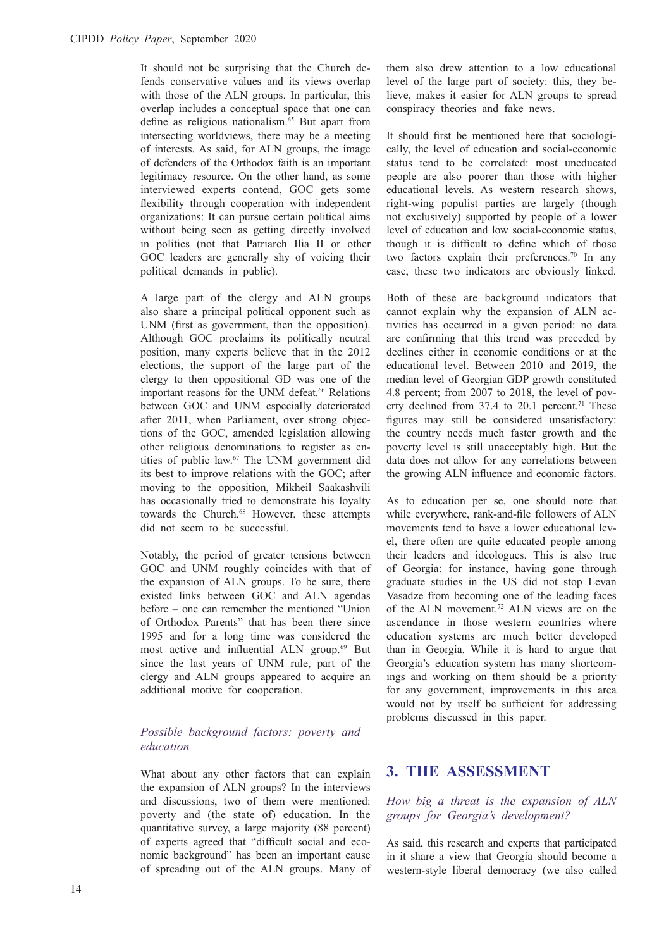It should not be surprising that the Church defends conservative values and its views overlap with those of the ALN groups. In particular, this overlap includes a conceptual space that one can define as religious nationalism.<sup>65</sup> But apart from intersecting worldviews, there may be a meeting of interests. As said, for ALN groups, the image of defenders of the Orthodox faith is an important legitimacy resource. On the other hand, as some interviewed experts contend, GOC gets some flexibility through cooperation with independent organizations: It can pursue certain political aims without being seen as getting directly involved in politics (not that Patriarch Ilia II or other GOC leaders are generally shy of voicing their political demands in public).

A large part of the clergy and ALN groups also share a principal political opponent such as UNM (first as government, then the opposition). Although GOC proclaims its politically neutral position, many experts believe that in the 2012 elections, the support of the large part of the clergy to then oppositional GD was one of the important reasons for the UNM defeat.<sup>66</sup> Relations between GOC and UNM especially deteriorated after 2011, when Parliament, over strong objections of the GOC, amended legislation allowing other religious denominations to register as entities of public law.67 The UNM government did its best to improve relations with the GOC; after moving to the opposition, Mikheil Saakashvili has occasionally tried to demonstrate his loyalty towards the Church.<sup>68</sup> However, these attempts did not seem to be successful.

Notably, the period of greater tensions between GOC and UNM roughly coincides with that of the expansion of ALN groups. To be sure, there existed links between GOC and ALN agendas before – one can remember the mentioned "Union of Orthodox Parents" that has been there since 1995 and for a long time was considered the most active and influential ALN group.69 But since the last years of UNM rule, part of the clergy and ALN groups appeared to acquire an additional motive for cooperation.

#### *Possible background factors: poverty and education*

What about any other factors that can explain the expansion of ALN groups? In the interviews and discussions, two of them were mentioned: poverty and (the state of) education. In the quantitative survey, a large majority (88 percent) of experts agreed that "difficult social and economic background" has been an important cause of spreading out of the ALN groups. Many of

them also drew attention to a low educational level of the large part of society: this, they believe, makes it easier for ALN groups to spread conspiracy theories and fake news.

It should first be mentioned here that sociologically, the level of education and social-economic status tend to be correlated: most uneducated people are also poorer than those with higher educational levels. As western research shows, right-wing populist parties are largely (though not exclusively) supported by people of a lower level of education and low social-economic status, though it is difficult to define which of those two factors explain their preferences.<sup>70</sup> In any case, these two indicators are obviously linked.

Both of these are background indicators that cannot explain why the expansion of ALN activities has occurred in a given period: no data are confirming that this trend was preceded by declines either in economic conditions or at the educational level. Between 2010 and 2019, the median level of Georgian GDP growth constituted 4.8 percent; from 2007 to 2018, the level of poverty declined from  $37.4$  to  $20.1$  percent.<sup>71</sup> These figures may still be considered unsatisfactory: the country needs much faster growth and the poverty level is still unacceptably high. But the data does not allow for any correlations between the growing ALN influence and economic factors.

As to education per se, one should note that while everywhere, rank-and-file followers of ALN movements tend to have a lower educational level, there often are quite educated people among their leaders and ideologues. This is also true of Georgia: for instance, having gone through graduate studies in the US did not stop Levan Vasadze from becoming one of the leading faces of the ALN movement.72 ALN views are on the ascendance in those western countries where education systems are much better developed than in Georgia. While it is hard to argue that Georgia's education system has many shortcomings and working on them should be a priority for any government, improvements in this area would not by itself be sufficient for addressing problems discussed in this paper.

# **3. THE ASSESSMENT**

#### *How big a threat is the expansion of ALN groups for Georgia's development?*

As said, this research and experts that participated in it share a view that Georgia should become a western-style liberal democracy (we also called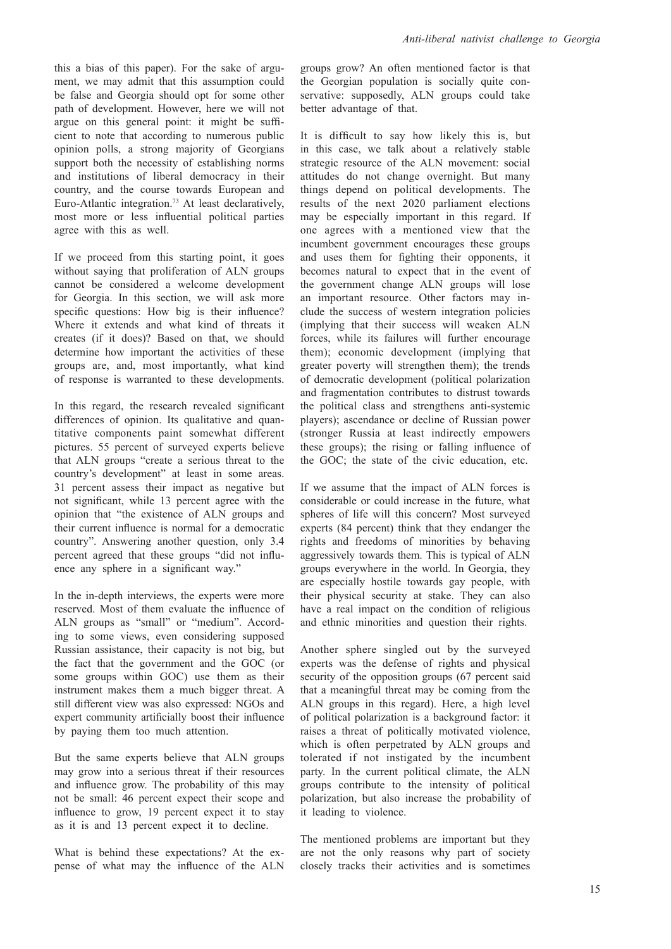this a bias of this paper). For the sake of argument, we may admit that this assumption could be false and Georgia should opt for some other path of development. However, here we will not argue on this general point: it might be sufficient to note that according to numerous public opinion polls, a strong majority of Georgians support both the necessity of establishing norms and institutions of liberal democracy in their country, and the course towards European and Euro-Atlantic integration.73 At least declaratively, most more or less influential political parties agree with this as well.

If we proceed from this starting point, it goes without saying that proliferation of ALN groups cannot be considered a welcome development for Georgia. In this section, we will ask more specific questions: How big is their influence? Where it extends and what kind of threats it creates (if it does)? Based on that, we should determine how important the activities of these groups are, and, most importantly, what kind of response is warranted to these developments.

In this regard, the research revealed significant differences of opinion. Its qualitative and quantitative components paint somewhat different pictures. 55 percent of surveyed experts believe that ALN groups "create a serious threat to the country's development" at least in some areas. 31 percent assess their impact as negative but not significant, while 13 percent agree with the opinion that "the existence of ALN groups and their current influence is normal for a democratic country". Answering another question, only 3.4 percent agreed that these groups "did not influence any sphere in a significant way."

In the in-depth interviews, the experts were more reserved. Most of them evaluate the influence of ALN groups as "small" or "medium". According to some views, even considering supposed Russian assistance, their capacity is not big, but the fact that the government and the GOC (or some groups within GOC) use them as their instrument makes them a much bigger threat. A still different view was also expressed: NGOs and expert community artificially boost their influence by paying them too much attention.

But the same experts believe that ALN groups may grow into a serious threat if their resources and influence grow. The probability of this may not be small: 46 percent expect their scope and influence to grow, 19 percent expect it to stay as it is and 13 percent expect it to decline.

What is behind these expectations? At the expense of what may the influence of the ALN

groups grow? An often mentioned factor is that the Georgian population is socially quite conservative: supposedly, ALN groups could take better advantage of that.

It is difficult to say how likely this is, but in this case, we talk about a relatively stable strategic resource of the ALN movement: social attitudes do not change overnight. But many things depend on political developments. The results of the next 2020 parliament elections may be especially important in this regard. If one agrees with a mentioned view that the incumbent government encourages these groups and uses them for fighting their opponents, it becomes natural to expect that in the event of the government change ALN groups will lose an important resource. Other factors may include the success of western integration policies (implying that their success will weaken ALN forces, while its failures will further encourage them); economic development (implying that greater poverty will strengthen them); the trends of democratic development (political polarization and fragmentation contributes to distrust towards the political class and strengthens anti-systemic players); ascendance or decline of Russian power (stronger Russia at least indirectly empowers these groups); the rising or falling influence of the GOC; the state of the civic education, etc.

If we assume that the impact of ALN forces is considerable or could increase in the future, what spheres of life will this concern? Most surveyed experts (84 percent) think that they endanger the rights and freedoms of minorities by behaving aggressively towards them. This is typical of ALN groups everywhere in the world. In Georgia, they are especially hostile towards gay people, with their physical security at stake. They can also have a real impact on the condition of religious and ethnic minorities and question their rights.

Another sphere singled out by the surveyed experts was the defense of rights and physical security of the opposition groups (67 percent said that a meaningful threat may be coming from the ALN groups in this regard). Here, a high level of political polarization is a background factor: it raises a threat of politically motivated violence, which is often perpetrated by ALN groups and tolerated if not instigated by the incumbent party. In the current political climate, the ALN groups contribute to the intensity of political polarization, but also increase the probability of it leading to violence.

The mentioned problems are important but they are not the only reasons why part of society closely tracks their activities and is sometimes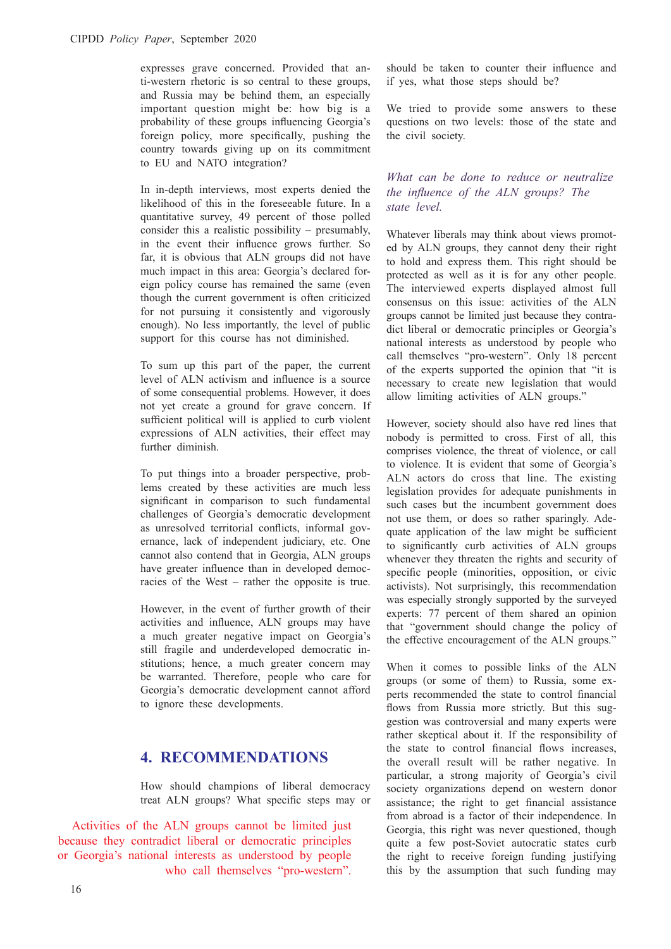expresses grave concerned. Provided that anti-western rhetoric is so central to these groups, and Russia may be behind them, an especially important question might be: how big is a probability of these groups influencing Georgia's foreign policy, more specifically, pushing the country towards giving up on its commitment to EU and NATO integration?

In in-depth interviews, most experts denied the likelihood of this in the foreseeable future. In a quantitative survey, 49 percent of those polled consider this a realistic possibility – presumably, in the event their influence grows further. So far, it is obvious that ALN groups did not have much impact in this area: Georgia's declared foreign policy course has remained the same (even though the current government is often criticized for not pursuing it consistently and vigorously enough). No less importantly, the level of public support for this course has not diminished.

To sum up this part of the paper, the current level of ALN activism and influence is a source of some consequential problems. However, it does not yet create a ground for grave concern. If sufficient political will is applied to curb violent expressions of ALN activities, their effect may further diminish.

To put things into a broader perspective, problems created by these activities are much less significant in comparison to such fundamental challenges of Georgia's democratic development as unresolved territorial conflicts, informal governance, lack of independent judiciary, etc. One cannot also contend that in Georgia, ALN groups have greater influence than in developed democracies of the West – rather the opposite is true.

However, in the event of further growth of their activities and influence, ALN groups may have a much greater negative impact on Georgia's still fragile and underdeveloped democratic institutions; hence, a much greater concern may be warranted. Therefore, people who care for Georgia's democratic development cannot afford to ignore these developments.

# **4. RECOMMENDATIONS**

How should champions of liberal democracy treat ALN groups? What specific steps may or

Activities of the ALN groups cannot be limited just because they contradict liberal or democratic principles or Georgia's national interests as understood by people who call themselves "pro-western".

should be taken to counter their influence and if yes, what those steps should be?

We tried to provide some answers to these questions on two levels: those of the state and the civil society.

*What can be done to reduce or neutralize the influence of the ALN groups? The state level.* 

Whatever liberals may think about views promoted by ALN groups, they cannot deny their right to hold and express them. This right should be protected as well as it is for any other people. The interviewed experts displayed almost full consensus on this issue: activities of the ALN groups cannot be limited just because they contradict liberal or democratic principles or Georgia's national interests as understood by people who call themselves "pro-western". Only 18 percent of the experts supported the opinion that "it is necessary to create new legislation that would allow limiting activities of ALN groups."

However, society should also have red lines that nobody is permitted to cross. First of all, this comprises violence, the threat of violence, or call to violence. It is evident that some of Georgia's ALN actors do cross that line. The existing legislation provides for adequate punishments in such cases but the incumbent government does not use them, or does so rather sparingly. Adequate application of the law might be sufficient to significantly curb activities of ALN groups whenever they threaten the rights and security of specific people (minorities, opposition, or civic activists). Not surprisingly, this recommendation was especially strongly supported by the surveyed experts: 77 percent of them shared an opinion that "government should change the policy of the effective encouragement of the ALN groups."

When it comes to possible links of the ALN groups (or some of them) to Russia, some experts recommended the state to control financial flows from Russia more strictly. But this suggestion was controversial and many experts were rather skeptical about it. If the responsibility of the state to control financial flows increases, the overall result will be rather negative. In particular, a strong majority of Georgia's civil society organizations depend on western donor assistance; the right to get financial assistance from abroad is a factor of their independence. In Georgia, this right was never questioned, though quite a few post-Soviet autocratic states curb the right to receive foreign funding justifying this by the assumption that such funding may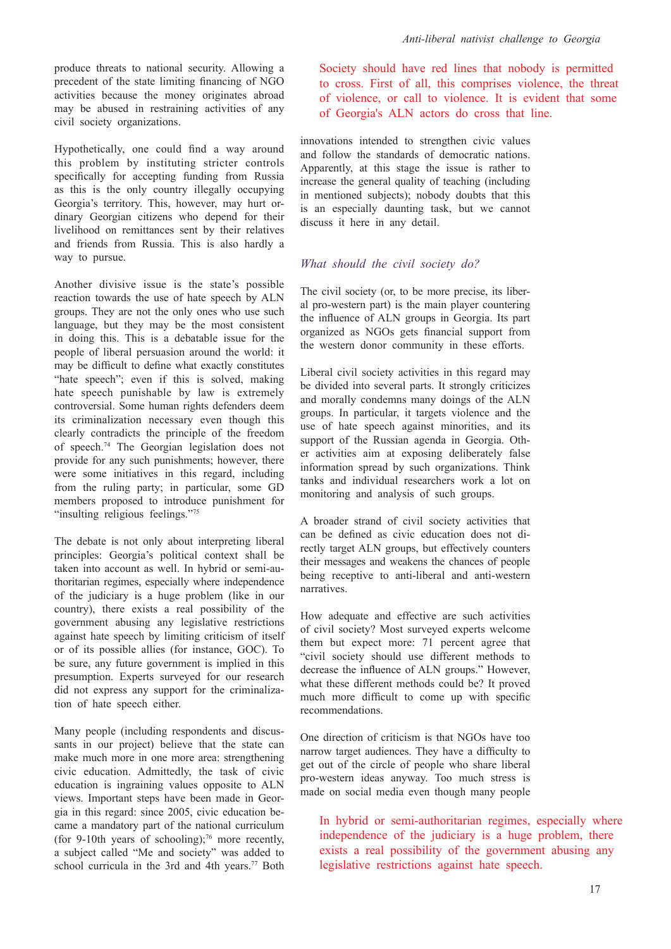produce threats to national security. Allowing a precedent of the state limiting financing of NGO activities because the money originates abroad may be abused in restraining activities of any civil society organizations.

Hypothetically, one could find a way around this problem by instituting stricter controls specifically for accepting funding from Russia as this is the only country illegally occupying Georgia's territory. This, however, may hurt ordinary Georgian citizens who depend for their livelihood on remittances sent by their relatives and friends from Russia. This is also hardly a way to pursue.

Another divisive issue is the state's possible reaction towards the use of hate speech by ALN groups. They are not the only ones who use such language, but they may be the most consistent in doing this. This is a debatable issue for the people of liberal persuasion around the world: it may be difficult to define what exactly constitutes "hate speech"; even if this is solved, making hate speech punishable by law is extremely controversial. Some human rights defenders deem its criminalization necessary even though this clearly contradicts the principle of the freedom of speech.74 The Georgian legislation does not provide for any such punishments; however, there were some initiatives in this regard, including from the ruling party; in particular, some GD members proposed to introduce punishment for "insulting religious feelings."<sup>75</sup>

The debate is not only about interpreting liberal principles: Georgia's political context shall be taken into account as well. In hybrid or semi-authoritarian regimes, especially where independence of the judiciary is a huge problem (like in our country), there exists a real possibility of the government abusing any legislative restrictions against hate speech by limiting criticism of itself or of its possible allies (for instance, GOC). To be sure, any future government is implied in this presumption. Experts surveyed for our research did not express any support for the criminalization of hate speech either.

Many people (including respondents and discussants in our project) believe that the state can make much more in one more area: strengthening civic education. Admittedly, the task of civic education is ingraining values opposite to ALN views. Important steps have been made in Georgia in this regard: since 2005, civic education became a mandatory part of the national curriculum (for 9-10th years of schooling): $76$  more recently, a subject called "Me and society" was added to school curricula in the 3rd and 4th years.<sup>77</sup> Both Society should have red lines that nobody is permitted to cross. First of all, this comprises violence, the threat of violence, or call to violence. It is evident that some of Georgia's ALN actors do cross that line.

innovations intended to strengthen civic values and follow the standards of democratic nations. Apparently, at this stage the issue is rather to increase the general quality of teaching (including in mentioned subjects); nobody doubts that this is an especially daunting task, but we cannot discuss it here in any detail.

#### *What should the civil society do?*

The civil society (or, to be more precise, its liberal pro-western part) is the main player countering the influence of ALN groups in Georgia. Its part organized as NGOs gets financial support from the western donor community in these efforts.

Liberal civil society activities in this regard may be divided into several parts. It strongly criticizes and morally condemns many doings of the ALN groups. In particular, it targets violence and the use of hate speech against minorities, and its support of the Russian agenda in Georgia. Other activities aim at exposing deliberately false information spread by such organizations. Think tanks and individual researchers work a lot on monitoring and analysis of such groups.

A broader strand of civil society activities that can be defined as civic education does not directly target ALN groups, but effectively counters their messages and weakens the chances of people being receptive to anti-liberal and anti-western narratives.

How adequate and effective are such activities of civil society? Most surveyed experts welcome them but expect more: 71 percent agree that "civil society should use different methods to decrease the influence of ALN groups." However, what these different methods could be? It proved much more difficult to come up with specific recommendations.

One direction of criticism is that NGOs have too narrow target audiences. They have a difficulty to get out of the circle of people who share liberal pro-western ideas anyway. Too much stress is made on social media even though many people

In hybrid or semi-authoritarian regimes, especially where independence of the judiciary is a huge problem, there exists a real possibility of the government abusing any legislative restrictions against hate speech.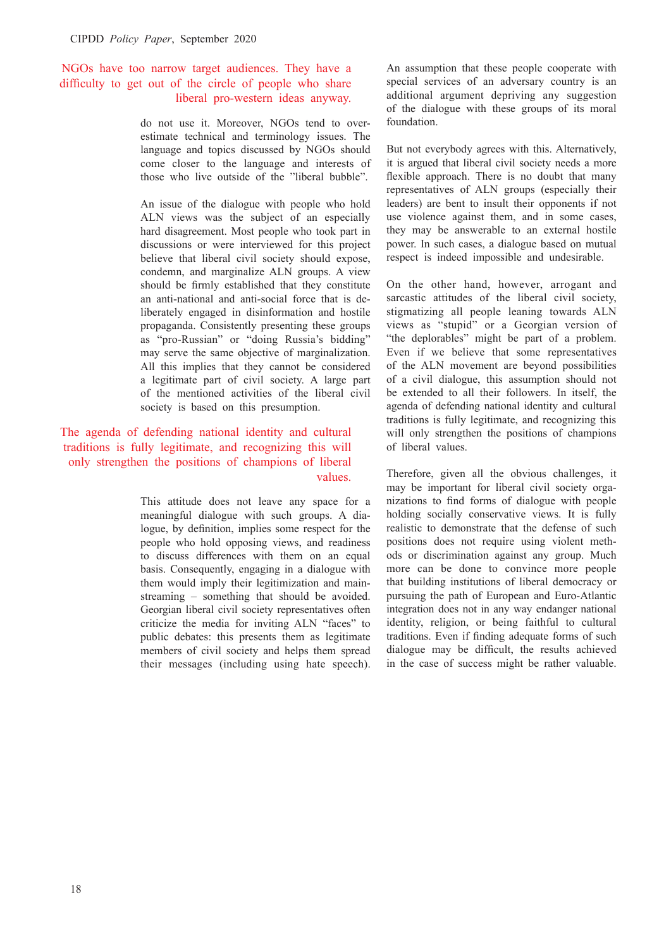## NGOs have too narrow target audiences. They have a difficulty to get out of the circle of people who share liberal pro-western ideas anyway.

do not use it. Moreover, NGOs tend to overestimate technical and terminology issues. The language and topics discussed by NGOs should come closer to the language and interests of those who live outside of the "liberal bubble".

An issue of the dialogue with people who hold ALN views was the subject of an especially hard disagreement. Most people who took part in discussions or were interviewed for this project believe that liberal civil society should expose, condemn, and marginalize ALN groups. A view should be firmly established that they constitute an anti-national and anti-social force that is deliberately engaged in disinformation and hostile propaganda. Consistently presenting these groups as "pro-Russian" or "doing Russia's bidding" may serve the same objective of marginalization. All this implies that they cannot be considered a legitimate part of civil society. A large part of the mentioned activities of the liberal civil society is based on this presumption.

## The agenda of defending national identity and cultural traditions is fully legitimate, and recognizing this will only strengthen the positions of champions of liberal values.

This attitude does not leave any space for a meaningful dialogue with such groups. A dialogue, by definition, implies some respect for the people who hold opposing views, and readiness to discuss differences with them on an equal basis. Consequently, engaging in a dialogue with them would imply their legitimization and mainstreaming – something that should be avoided. Georgian liberal civil society representatives often criticize the media for inviting ALN "faces" to public debates: this presents them as legitimate members of civil society and helps them spread their messages (including using hate speech). An assumption that these people cooperate with special services of an adversary country is an additional argument depriving any suggestion of the dialogue with these groups of its moral foundation.

But not everybody agrees with this. Alternatively, it is argued that liberal civil society needs a more flexible approach. There is no doubt that many representatives of ALN groups (especially their leaders) are bent to insult their opponents if not use violence against them, and in some cases, they may be answerable to an external hostile power. In such cases, a dialogue based on mutual respect is indeed impossible and undesirable.

On the other hand, however, arrogant and sarcastic attitudes of the liberal civil society, stigmatizing all people leaning towards ALN views as "stupid" or a Georgian version of "the deplorables" might be part of a problem. Even if we believe that some representatives of the ALN movement are beyond possibilities of a civil dialogue, this assumption should not be extended to all their followers. In itself, the agenda of defending national identity and cultural traditions is fully legitimate, and recognizing this will only strengthen the positions of champions of liberal values.

Therefore, given all the obvious challenges, it may be important for liberal civil society organizations to find forms of dialogue with people holding socially conservative views. It is fully realistic to demonstrate that the defense of such positions does not require using violent methods or discrimination against any group. Much more can be done to convince more people that building institutions of liberal democracy or pursuing the path of European and Euro-Atlantic integration does not in any way endanger national identity, religion, or being faithful to cultural traditions. Even if finding adequate forms of such dialogue may be difficult, the results achieved in the case of success might be rather valuable.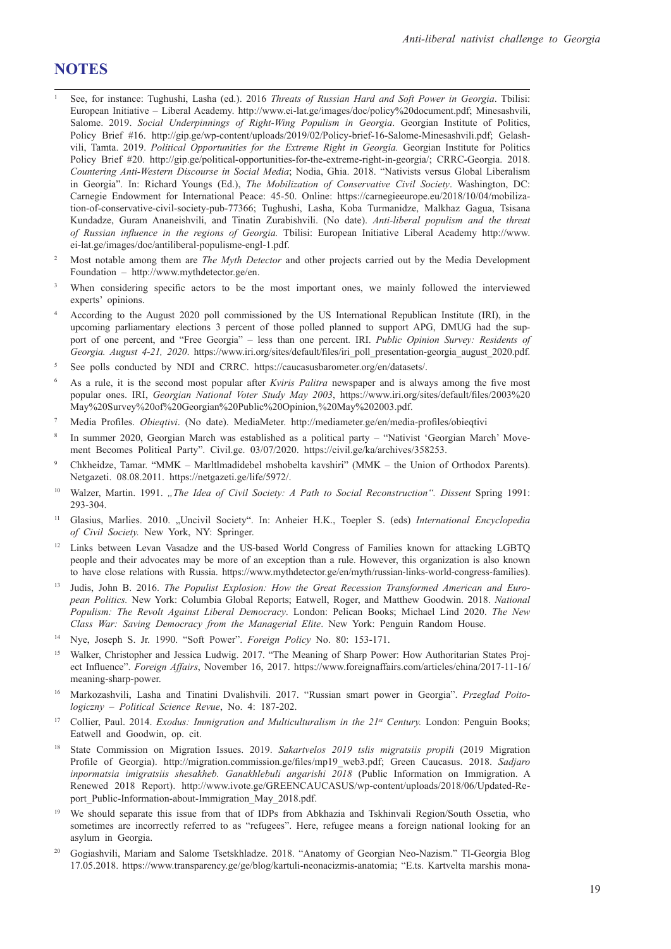## **NOTES**

- <sup>1</sup> See, for instance: Tughushi, Lasha (ed.). 2016 *Threats of Russian Hard and Soft Power in Georgia*. Tbilisi: European Initiative – Liberal Academy. http://www.ei-lat.ge/images/doc/policy%20document.pdf; Minesashvili, Salome. 2019. *Social Underpinnings of Right-Wing Populism in Georgia*. Georgian Institute of Politics, Policy Brief #16. http://gip.ge/wp-content/uploads/2019/02/Policy-brief-16-Salome-Minesashvili.pdf; Gelashvili, Tamta. 2019. *Political Opportunities for the Extreme Right in Georgia.* Georgian Institute for Politics Policy Brief #20. http://gip.ge/political-opportunities-for-the-extreme-right-in-georgia/; CRRC-Georgia. 2018. *Countering Anti-Western Discourse in Social Media*; Nodia, Ghia. 2018. "Nativists versus Global Liberalism in Georgia". In: Richard Youngs (Ed.), *The Mobilization of Conservative Civil Society*. Washington, DC: Carnegie Endowment for International Peace: 45-50. Online: https://carnegieeurope.eu/2018/10/04/mobilization-of-conservative-civil-society-pub-77366; Tughushi, Lasha, Koba Turmanidze, Malkhaz Gagua, Tsisana Kundadze, Guram Ananeishvili, and Tinatin Zurabishvili. (No date). *Anti-liberal populism and the threat of Russian influence in the regions of Georgia.* Tbilisi: European Initiative Liberal Academy http://www. ei-lat.ge/images/doc/antiliberal-populisme-engl-1.pdf.
- <sup>2</sup> Most notable among them are *The Myth Detector* and other projects carried out by the Media Development Foundation – http://www.mythdetector.ge/en.
- <sup>3</sup> When considering specific actors to be the most important ones, we mainly followed the interviewed experts' opinions.
- <sup>4</sup> According to the August 2020 poll commissioned by the US International Republican Institute (IRI), in the upcoming parliamentary elections 3 percent of those polled planned to support APG, DMUG had the support of one percent, and "Free Georgia" – less than one percent. IRI. *Public Opinion Survey: Residents of Georgia. August 4-21, 2020*. https://www.iri.org/sites/default/files/iri\_poll\_presentation-georgia\_august\_2020.pdf.
- <sup>5</sup> See polls conducted by NDI and CRRC. https://caucasusbarometer.org/en/datasets/.
- <sup>6</sup> As a rule, it is the second most popular after *Kviris Palitra* newspaper and is always among the five most popular ones. IRI, *Georgian National Voter Study May 2003*, https://www.iri.org/sites/default/files/2003%20 May%20Survey%20of%20Georgian%20Public%20Opinion,%20May%202003.pdf.
- <sup>7</sup> Media Profiles. *Obieqtivi*. (No date). MediaMeter. http://mediameter.ge/en/media-profiles/obieqtivi
- <sup>8</sup> In summer 2020, Georgian March was established as a political party "Nativist 'Georgian March' Movement Becomes Political Party". Civil.ge. 03/07/2020. https://civil.ge/ka/archives/358253.
- <sup>9</sup> Chkheidze, Tamar. "MMK Marltlmadidebel mshobelta kavshiri" (MMK the Union of Orthodox Parents). Netgazeti. 08.08.2011. https://netgazeti.ge/life/5972/.
- <sup>10</sup> Walzer, Martin. 1991. *"The Idea of Civil Society: A Path to Social Reconstruction". Dissent Spring 1991:* 293-304.
- <sup>11</sup> Glasius, Marlies. 2010. "Uncivil Society". In: Anheier H.K., Toepler S. (eds) International Encyclopedia *of Civil Society.* New York, NY: Springer.
- <sup>12</sup> Links between Levan Vasadze and the US-based World Congress of Families known for attacking LGBTQ people and their advocates may be more of an exception than a rule. However, this organization is also known to have close relations with Russia. https://www.mythdetector.ge/en/myth/russian-links-world-congress-families).
- <sup>13</sup> Judis, John B. 2016. The Populist Explosion: How the Great Recession Transformed American and Euro*pean Politics.* New York: Columbia Global Reports; Eatwell, Roger, and Matthew Goodwin. 2018. *National Populism: The Revolt Against Liberal Democracy*. London: Pelican Books; Michael Lind 2020. *The New Class War: Saving Democracy from the Managerial Elite*. New York: Penguin Random House.
- <sup>14</sup> Nye, Joseph S. Jr. 1990. "Soft Power". *Foreign Policy* No. 80: 153-171.
- <sup>15</sup> Walker, Christopher and Jessica Ludwig. 2017. "The Meaning of Sharp Power: How Authoritarian States Project Influence". *Foreign Affairs*, November 16, 2017. https://www.foreignaffairs.com/articles/china/2017-11-16/ meaning-sharp-power.
- <sup>16</sup> Markozashvili, Lasha and Tinatini Dvalishvili. 2017. "Russian smart power in Georgia". *Przeglad Poitologiczny – Political Science Revue*, No. 4: 187-202.
- <sup>17</sup> Collier, Paul. 2014. *Exodus: Immigration and Multiculturalism in the 21st Century.* London: Penguin Books; Eatwell and Goodwin, op. cit.
- <sup>18</sup> State Commission on Migration Issues. 2019. *Sakartvelos 2019 tslis migratsiis propili* (2019 Migration Profile of Georgia). http://migration.commission.ge/files/mp19\_web3.pdf; Green Caucasus. 2018. *Sadjaro inpormatsia imigratsiis shesakheb. Ganakhlebuli angarishi 2018* (Public Information on Immigration. A Renewed 2018 Report). http://www.ivote.ge/GREENCAUCASUS/wp-content/uploads/2018/06/Updated-Report\_Public-Information-about-Immigration\_May\_2018.pdf.
- <sup>19</sup> We should separate this issue from that of IDPs from Abkhazia and Tskhinvali Region/South Ossetia, who sometimes are incorrectly referred to as "refugees". Here, refugee means a foreign national looking for an asylum in Georgia.
- <sup>20</sup> Gogiashvili, Mariam and Salome Tsetskhladze. 2018. "Anatomy of Georgian Neo-Nazism." TI-Georgia Blog 17.05.2018. https://www.transparency.ge/ge/blog/kartuli-neonacizmis-anatomia; "E.ts. Kartvelta marshis mona-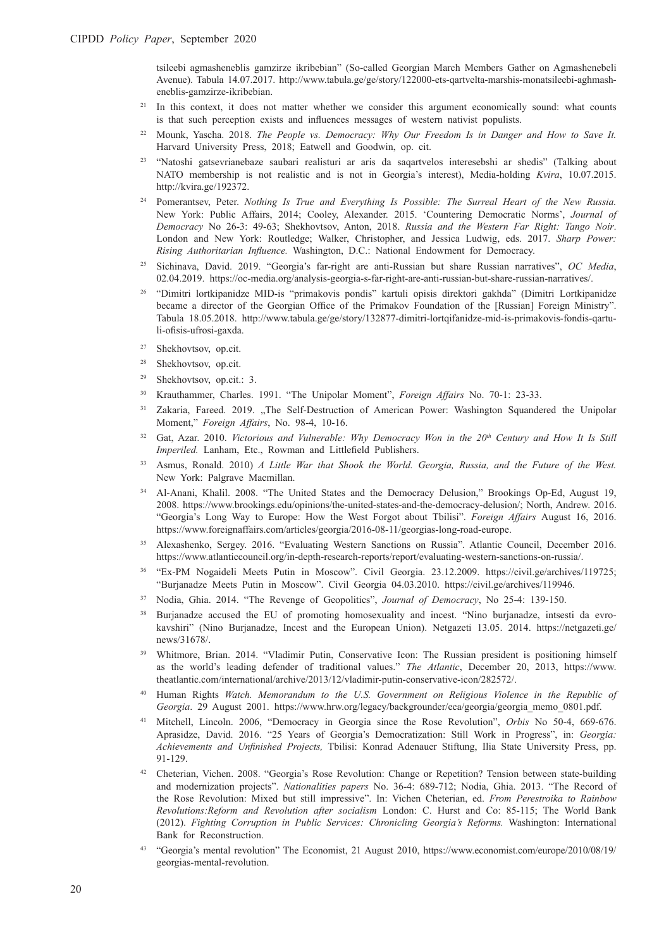tsileebi agmasheneblis gamzirze ikribebian" (So-called Georgian March Members Gather on Agmashenebeli Avenue). Tabula 14.07.2017. http://www.tabula.ge/ge/story/122000-ets-qartvelta-marshis-monatsileebi-aghmasheneblis-gamzirze-ikribebian.

- <sup>21</sup> In this context, it does not matter whether we consider this argument economically sound: what counts is that such perception exists and influences messages of western nativist populists.
- <sup>22</sup> Mounk, Yascha. 2018. *The People vs. Democracy: Why Our Freedom Is in Danger and How to Save It.* Harvard University Press, 2018; Eatwell and Goodwin, op. cit.
- <sup>23</sup> "Natoshi gatsevrianebaze saubari realisturi ar aris da saqartvelos interesebshi ar shedis" (Talking about NATO membership is not realistic and is not in Georgia's interest), Media-holding *Kvira*, 10.07.2015. http://kvira.ge/192372.
- <sup>24</sup> Pomerantsev, Peter. *Nothing Is True and Everything Is Possible: The Surreal Heart of the New Russia.*  New York: Public Affairs, 2014; Cooley, Alexander. 2015. 'Countering Democratic Norms', *Journal of Democracy* No 26-3: 49-63; Shekhovtsov, Anton, 2018. *Russia and the Western Far Right: Tango Noir*. London and New York: Routledge; Walker, Christopher, and Jessica Ludwig, eds. 2017. *Sharp Power: Rising Authoritarian Influence.* Washington, D.C.: National Endowment for Democracy.
- <sup>25</sup> Sichinava, David. 2019. "Georgia's far-right are anti-Russian but share Russian narratives", *OC Media*, 02.04.2019. https://oc-media.org/analysis-georgia-s-far-right-are-anti-russian-but-share-russian-narratives/.
- <sup>26</sup> "Dimitri lortkipanidze MID-is "primakovis pondis" kartuli opisis direktori gakhda" (Dimitri Lortkipanidze became a director of the Georgian Office of the Primakov Foundation of the [Russian] Foreign Ministry". Tabula 18.05.2018. http://www.tabula.ge/ge/story/132877-dimitri-lortqifanidze-mid-is-primakovis-fondis-qartuli-ofisis-ufrosi-gaxda.
- <sup>27</sup> Shekhovtsov, op.cit.
- <sup>28</sup> Shekhovtsov, op.cit.
- <sup>29</sup> Shekhovtsov, op.cit.: 3.
- <sup>30</sup> Krauthammer, Charles. 1991. "The Unipolar Moment", *Foreign Affairs* No. 70-1: 23-33.
- <sup>31</sup> Zakaria, Fareed. 2019. "The Self-Destruction of American Power: Washington Squandered the Unipolar Moment," *Foreign Affairs*, No. 98-4, 10-16.
- <sup>32</sup> Gat, Azar. 2010. *Victorious and Vulnerable: Why Democracy Won in the 20<sup>th</sup> Century and How It Is Still Imperiled.* Lanham, Etc., Rowman and Littlefield Publishers.
- <sup>33</sup> Asmus, Ronald. 2010) *A Little War that Shook the World. Georgia, Russia, and the Future of the West.*  New York: Palgrave Macmillan.
- <sup>34</sup> Al-Anani, Khalil. 2008. "The United States and the Democracy Delusion," Brookings Op-Ed, August 19, 2008. https://www.brookings.edu/opinions/the-united-states-and-the-democracy-delusion/; North, Andrew. 2016. "Georgia's Long Way to Europe: How the West Forgot about Tbilisi". *Foreign Affairs* August 16, 2016. https://www.foreignaffairs.com/articles/georgia/2016-08-11/georgias-long-road-europe.
- <sup>35</sup> Alexashenko, Sergey. 2016. "Evaluating Western Sanctions on Russia". Atlantic Council, December 2016. https://www.atlanticcouncil.org/in-depth-research-reports/report/evaluating-western-sanctions-on-russia/.
- <sup>36</sup> "Ex-PM Nogaideli Meets Putin in Moscow". Civil Georgia. 23.12.2009. https://civil.ge/archives/119725; "Burjanadze Meets Putin in Moscow". Civil Georgia 04.03.2010. https://civil.ge/archives/119946.
- <sup>37</sup> Nodia, Ghia. 2014. "The Revenge of Geopolitics", *Journal of Democracy*, No 25-4: 139-150.
- <sup>38</sup> Burjanadze accused the EU of promoting homosexuality and incest. "Nino burjanadze, intsesti da evrokavshiri" (Nino Burjanadze, Incest and the European Union). Netgazeti 13.05. 2014. https://netgazeti.ge/ news/31678/.
- <sup>39</sup> Whitmore, Brian. 2014. "Vladimir Putin, Conservative Icon: The Russian president is positioning himself as the world's leading defender of traditional values." *The Atlantic*, December 20, 2013, https://www. theatlantic.com/international/archive/2013/12/vladimir-putin-conservative-icon/282572/.
- <sup>40</sup> Human Rights *Watch. Memorandum to the U.S. Government on Religious Violence in the Republic of Georgia*. 29 August 2001. https://www.hrw.org/legacy/backgrounder/eca/georgia/georgia\_memo\_0801.pdf.
- <sup>41</sup> Mitchell, Lincoln. 2006, "Democracy in Georgia since the Rose Revolution", *Orbis* No 50-4, 669-676. Aprasidze, David. 2016. "25 Years of Georgia's Democratization: Still Work in Progress", in: *Georgia: Achievements and Unfinished Projects,* Tbilisi: Konrad Adenauer Stiftung, Ilia State University Press, pp. 91-129.
- <sup>42</sup> Cheterian, Vichen. 2008. "Georgia's Rose Revolution: Change or Repetition? Tension between state-building and modernization projects". *Nationalities papers* No. 36-4: 689-712; Nodia, Ghia. 2013. "The Record of the Rose Revolution: Mixed but still impressive". In: Vichen Cheterian, ed. *From Perestroika to Rainbow Revolutions:Reform and Revolution after socialism* London: C. Hurst and Co: 85-115; The World Bank (2012). *Fighting Corruption in Public Services: Chronicling Georgia's Reforms.* Washington: International Bank for Reconstruction.
- <sup>43</sup> "Georgia's mental revolution" The Economist, 21 August 2010, https://www.economist.com/europe/2010/08/19/ georgias-mental-revolution.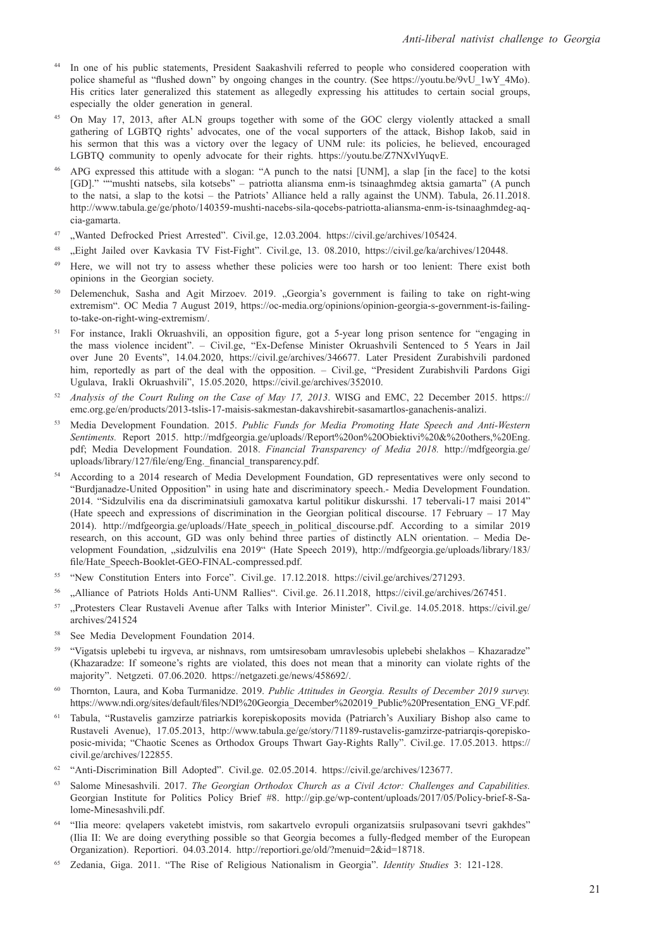- In one of his public statements, President Saakashvili referred to people who considered cooperation with police shameful as "flushed down" by ongoing changes in the country. (See https://youtu.be/9vU\_1wY\_4Mo). His critics later generalized this statement as allegedly expressing his attitudes to certain social groups, especially the older generation in general.
- <sup>45</sup> On May 17, 2013, after ALN groups together with some of the GOC clergy violently attacked a small gathering of LGBTQ rights' advocates, one of the vocal supporters of the attack, Bishop Iakob, said in his sermon that this was a victory over the legacy of UNM rule: its policies, he believed, encouraged LGBTQ community to openly advocate for their rights. https://youtu.be/Z7NXvlYuqvE.
- <sup>46</sup> APG expressed this attitude with a slogan: "A punch to the natsi [UNM], a slap [in the face] to the kotsi [GD]." ""mushti natsebs, sila kotsebs" – patriotta aliansma enm-is tsinaaghmdeg aktsia gamarta" (A punch to the natsi, a slap to the kotsi – the Patriots' Alliance held a rally against the UNM). Tabula, 26.11.2018. http://www.tabula.ge/ge/photo/140359-mushti-nacebs-sila-qocebs-patriotta-aliansma-enm-is-tsinaaghmdeg-aqcia-gamarta.
- <sup>47</sup> "Wanted Defrocked Priest Arrested". Civil.ge, 12.03.2004. https://civil.ge/archives/105424.
- <sup>48</sup> "Eight Jailed over Kavkasia TV Fist-Fight". Civil.ge, 13. 08.2010, https://civil.ge/ka/archives/120448.
- <sup>49</sup> Here, we will not try to assess whether these policies were too harsh or too lenient: There exist both opinions in the Georgian society.
- <sup>50</sup> Delemenchuk, Sasha and Agit Mirzoev. 2019. "Georgia's government is failing to take on right-wing extremism". OC Media 7 August 2019, https://oc-media.org/opinions/opinion-georgia-s-government-is-failingto-take-on-right-wing-extremism/.
- <sup>51</sup> For instance, Irakli Okruashvili, an opposition figure, got a 5-year long prison sentence for "engaging in the mass violence incident". – Civil.ge, "Ex-Defense Minister Okruashvili Sentenced to 5 Years in Jail over June 20 Events", 14.04.2020, https://civil.ge/archives/346677. Later President Zurabishvili pardoned him, reportedly as part of the deal with the opposition. – Civil.ge, "President Zurabishvili Pardons Gigi Ugulava, Irakli Okruashvili", 15.05.2020, https://civil.ge/archives/352010.
- <sup>52</sup> *Analysis of the Court Ruling on the Case of May 17, 2013*. WISG and EMC, 22 December 2015. https:// emc.org.ge/en/products/2013-tslis-17-maisis-sakmestan-dakavshirebit-sasamartlos-ganachenis-analizi.
- <sup>53</sup> Media Development Foundation. 2015. *Public Funds for Media Promoting Hate Speech and Anti-Western Sentiments.* Report 2015. http://mdfgeorgia.ge/uploads//Report%20on%20Obiektivi%20&%20others,%20Eng. pdf; Media Development Foundation. 2018. *Financial Transparency of Media 2018.* http://mdfgeorgia.ge/ uploads/library/127/file/eng/Eng. financial transparency.pdf.
- <sup>54</sup> According to a 2014 research of Media Development Foundation, GD representatives were only second to "Burdjanadze-United Opposition" in using hate and discriminatory speech.- Media Development Foundation. 2014. "Sidzulvilis ena da discriminatsiuli gamoxatva kartul politikur diskursshi. 17 tebervali-17 maisi 2014" (Hate speech and expressions of discrimination in the Georgian political discourse. 17 February – 17 May 2014). http://mdfgeorgia.ge/uploads//Hate\_speech\_in\_political\_discourse.pdf. According to a similar 2019 research, on this account, GD was only behind three parties of distinctly ALN orientation. – Media Development Foundation, "sidzulvilis ena 2019" (Hate Speech 2019), http://mdfgeorgia.ge/uploads/library/183/ file/Hate\_Speech-Booklet-GEO-FINAL-compressed.pdf.
- <sup>55</sup> "New Constitution Enters into Force". Civil.ge. 17.12.2018. https://civil.ge/archives/271293.
- <sup>56</sup> "Alliance of Patriots Holds Anti-UNM Rallies". Civil.ge. 26.11.2018, https://civil.ge/archives/267451.
- <sup>57</sup> "Protesters Clear Rustaveli Avenue after Talks with Interior Minister". Civil.ge. 14.05.2018. https://civil.ge/ archives/241524
- <sup>58</sup> See Media Development Foundation 2014.
- <sup>59</sup> "Vigatsis uplebebi tu irgveva, ar nishnavs, rom umtsiresobam umravlesobis uplebebi shelakhos Khazaradze" (Khazaradze: If someone's rights are violated, this does not mean that a minority can violate rights of the majority". Netgzeti. 07.06.2020. https://netgazeti.ge/news/458692/.
- <sup>60</sup> Thornton, Laura, and Koba Turmanidze. 2019. *Public Attitudes in Georgia. Results of December 2019 survey.* https://www.ndi.org/sites/default/files/NDI%20Georgia\_December%202019\_Public%20Presentation\_ENG\_VF.pdf.
- <sup>61</sup> Tabula, "Rustavelis gamzirze patriarkis korepiskoposits movida (Patriarch's Auxiliary Bishop also came to Rustaveli Avenue), 17.05.2013, http://www.tabula.ge/ge/story/71189-rustavelis-gamzirze-patriarqis-qorepiskoposic-mivida; "Chaotic Scenes as Orthodox Groups Thwart Gay-Rights Rally". Civil.ge. 17.05.2013. https:// civil.ge/archives/122855.
- <sup>62</sup> "Anti-Discrimination Bill Adopted". Civil.ge. 02.05.2014. https://civil.ge/archives/123677.
- <sup>63</sup> Salome Minesashvili. 2017. *The Georgian Orthodox Church as a Civil Actor: Challenges and Capabilities.*  Georgian Institute for Politics Policy Brief #8. http://gip.ge/wp-content/uploads/2017/05/Policy-brief-8-Salome-Minesashvili.pdf.
- <sup>64</sup> "Ilia meore: qvelapers vaketebt imistvis, rom sakartvelo evropuli organizatsiis srulpasovani tsevri gakhdes" (Ilia II: We are doing everything possible so that Georgia becomes a fully-fledged member of the European Organization). Reportiori. 04.03.2014. http://reportiori.ge/old/?menuid=2&id=18718.
- <sup>65</sup> Zedania, Giga. 2011. "The Rise of Religious Nationalism in Georgia". *Identity Studies* 3: 121-128.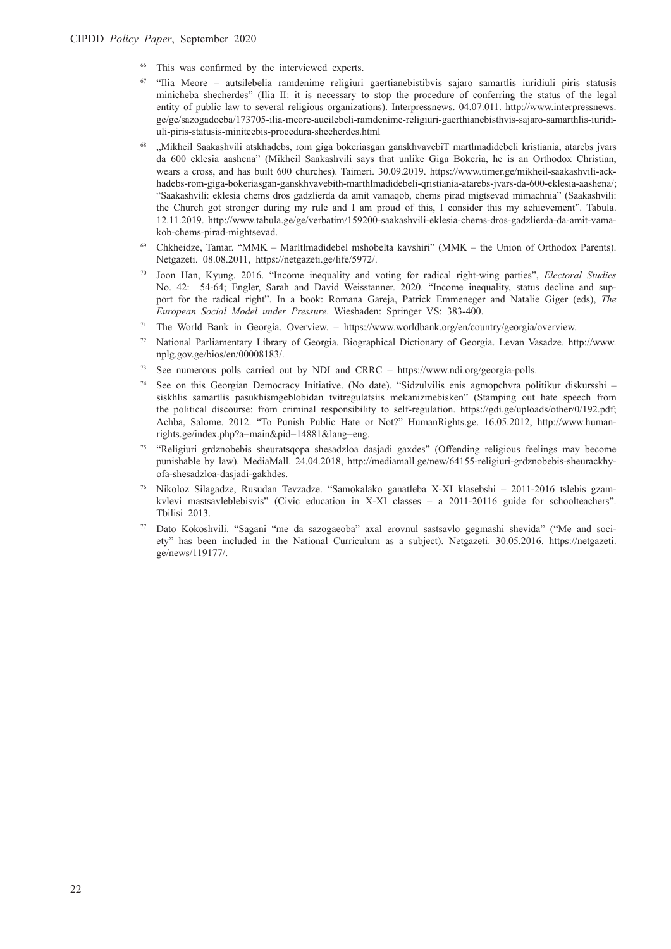- This was confirmed by the interviewed experts.
- <sup>67</sup> "Ilia Meore autsilebelia ramdenime religiuri gaertianebistibvis sajaro samartlis iuridiuli piris statusis minicheba shecherdes" (Ilia II: it is necessary to stop the procedure of conferring the status of the legal entity of public law to several religious organizations). Interpressnews. 04.07.011. http://www.interpressnews. ge/ge/sazogadoeba/173705-ilia-meore-aucilebeli-ramdenime-religiuri-gaerthianebisthvis-sajaro-samarthlis-iuridiuli-piris-statusis-minitcebis-procedura-shecherdes.html
- <sup>68</sup> "Mikheil Saakashvili atskhadebs, rom giga bokeriasgan ganskhvavebiT martlmadidebeli kristiania, atarebs jvars da 600 eklesia aashena" (Mikheil Saakashvili says that unlike Giga Bokeria, he is an Orthodox Christian, wears a cross, and has built 600 churches). Taimeri. 30.09.2019. https://www.timer.ge/mikheil-saakashvili-ackhadebs-rom-giga-bokeriasgan-ganskhvavebith-marthlmadidebeli-qristiania-atarebs-jvars-da-600-eklesia-aashena/; "Saakashvili: eklesia chems dros gadzlierda da amit vamaqob, chems pirad migtsevad mimachnia" (Saakashvili: the Church got stronger during my rule and I am proud of this, I consider this my achievement". Tabula. 12.11.2019. http://www.tabula.ge/ge/verbatim/159200-saakashvili-eklesia-chems-dros-gadzlierda-da-amit-vamakob-chems-pirad-mightsevad.
- <sup>69</sup> Chkheidze, Tamar. "MMK Marltlmadidebel mshobelta kavshiri" (MMK the Union of Orthodox Parents). Netgazeti. 08.08.2011, https://netgazeti.ge/life/5972/.
- <sup>70</sup> Joon Han, Kyung. 2016. "Income inequality and voting for radical right-wing parties", *Electoral Studies* No. 42: 54-64; Engler, Sarah and David Weisstanner. 2020. "Income inequality, status decline and support for the radical right". In a book: Romana Gareja, Patrick Emmeneger and Natalie Giger (eds), *The European Social Model under Pressure*. Wiesbaden: Springer VS: 383-400.
- <sup>71</sup> The World Bank in Georgia. Overview. https://www.worldbank.org/en/country/georgia/overview.
- <sup>72</sup> National Parliamentary Library of Georgia. Biographical Dictionary of Georgia. Levan Vasadze. http://www. nplg.gov.ge/bios/en/00008183/.
- <sup>73</sup> See numerous polls carried out by NDI and CRRC https://www.ndi.org/georgia-polls.
- <sup>74</sup> See on this Georgian Democracy Initiative. (No date). "Sidzulvilis enis agmopchvra politikur diskursshi siskhlis samartlis pasukhismgeblobidan tvitregulatsiis mekanizmebisken" (Stamping out hate speech from the political discourse: from criminal responsibility to self-regulation. https://gdi.ge/uploads/other/0/192.pdf; Achba, Salome. 2012. "To Punish Public Hate or Not?" HumanRights.ge. 16.05.2012, http://www.humanrights.ge/index.php?a=main&pid=14881&lang=eng.
- <sup>75</sup> "Religiuri grdznobebis sheuratsqopa shesadzloa dasjadi gaxdes" (Offending religious feelings may become punishable by law). MediaMall. 24.04.2018, http://mediamall.ge/new/64155-religiuri-grdznobebis-sheurackhyofa-shesadzloa-dasjadi-gakhdes.
- <sup>76</sup> Nikoloz Silagadze, Rusudan Tevzadze. "Samokalako ganatleba X-XI klasebshi 2011-2016 tslebis gzamkvlevi mastsavleblebisvis" (Civic education in X-XI classes – a 2011-20116 guide for schoolteachers". Tbilisi 2013.
- <sup>77</sup> Dato Kokoshvili. "Sagani "me da sazogaeoba" axal erovnul sastsavlo gegmashi shevida" ("Me and society" has been included in the National Curriculum as a subject). Netgazeti. 30.05.2016. https://netgazeti. ge/news/119177/.